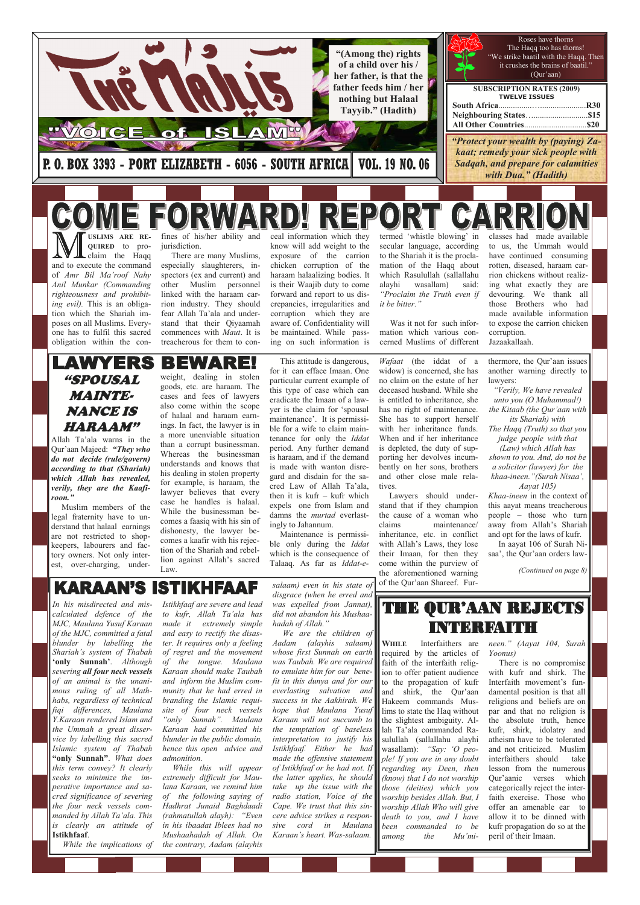**M** USLIMS ARE RECOURED to pro-<br>
claim the Haqq and to execute the command termed 'whistle blowing' in USLIMS ARE REfines of his/her ability and ceal information which they classes had made available QUIRED to projurisdiction. know will add weight to the secular language, according to us, the Ummah would claim the Haqq There are many Muslims, exposure of the carrion to the Shariah it is the proclahave continued consuming especially slaughterers, inchicken corruption of the mation of the Haqq about rotten, diseased, haraam carharaam halaalizing bodies. It of Amr Bil Ma'roof Nahy spectors (ex and current) and which Rasulullah (sallallahu rion chickens without realizing what exactly they are Anil Munkar (Commanding other Muslim personnel is their Waajib duty to come alayhi wasallam) said: righteousness and prohibitlinked with the haraam carforward and report to us dis-"Proclaim the Truth even if devouring. We thank all crepancies, irregularities and ing evil). This is an obligait be bitter." those Brothers who had rion industry. They should tion which the Shariah imcorruption which they are made available information fear Allah Ta'ala and underposes on all Muslims. Everyaware of. Confidentiality will to expose the carrion chicken stand that their Qiyaamah Was it not for such inforone has to fulfil this sacred commences with Maut. It is be maintained. While passmation which various concorruption. ing on such information is obligation within the contreacherous for them to concerned Muslims of different Jazaakallaah. **AWYERS** BEWARE This attitude is dangerous, Wafaat (the iddat of a thermore, the Qur'aan issues another warning directly to for it can efface Imaan. One widow) is concerned, she has weight, dealing in stolen "SPOUSAL particular current example of no claim on the estate of her lawyers: goods, etc. are haraam. The this type of case which can deceased husband. While she "Verily, We have revealed MAINTEcases and fees of lawyers is entitled to inheritance, she eradicate the Imaan of a lawunto you (O Muhammad!) also come within the scope yer is the claim for 'spousal NANCE IS has no right of maintenance. the Kitaab (the Qur'aan with of halaal and haraam earnmaintenance'. It is permissi-She has to support herself its Shariah) with ings. In fact, the lawyer is in HARAAM" ble for a wife to claim mainwith her inheritance funds. The Haqq (Truth) so that you a more unenviable situation tenance for only the Iddat When and if her inheritance judge people with that Allah Ta'ala warns in the than a corrupt businessman. period. Any further demand is depleted, the duty of sup-(Law) which Allah has Qur'aan Majeed: "They who Whereas the businessman is haraam, and if the demand porting her devolves incumshown to you. And, do not be do not decide (rule/govern) understands and knows that is made with wanton disrebently on her sons, brothers a solicitor (lawyer) for the according to that (Shariah) his dealing in stolen property gard and disdain for the saand other close male relakhaa-ineen."(Surah Nisaa', which Allah has revealed, for example, is haraam, the cred Law of Allah Ta'ala, tives. Aayat 105) verily, they are the Kaafilawyer believes that every then it is kufr – kufr which Lawyers should under-Khaa-ineen in the context of roon." case he handles is halaal. expels one from Islam and this aayat means treacherous stand that if they champion Muslim members of the While the businessman bedamns the murtad everlastthe cause of a woman who people – those who turn legal fraternity have to uncomes a faasiq with his sin of ingly to Jahannum. claims maintenance/ away from Allah's Shariah derstand that halaal earnings dishonesty, the lawyer be- Maintenance is permissiinheritance, etc. in conflict and opt for the laws of kufr. are not restricted to shopcomes a kaafir with his rejecble only during the *Iddat* with Allah's Laws, they lose In aayat 106 of Surah Nikeepers, labourers and faction of the Shariah and rebelwhich is the consequence of their Imaan, for then they saa', the Qur'aan orders law tory owners. Not only interlion against Allah's sacred Talaaq. As far as Iddat-ecome within the purview of est, over-charging, under-

**KARAAN'S** STIKHFAAF

Law.

WHILE Interfaithers are required by the articles of faith of the interfaith religion to offer patient audience with kufr and shirk. The

the aforementioned warning of the Qur'aan Shareef. Fur(Continued on page 8)

We are the children of Aadam (alayhis salaam) whose first Sunnah on earth was Taubah. We are required to emulate him for our benefit in this dunya and for our everlasting salvation and success in the Aakhirah. We hope that Maulana Yusuf Karaan will not succumb to the temptation of baseless interpretation to justify his Istikhfaaf. Either he had made the offensive statement of Istikhfaaf or he had not. If the latter applies, he should take up the issue with the radio station, Voice of the Cape. We trust that this sincere advice strikes a responsive cord in Maulana Karaan's heart. Was-salaam.

THE QUR'AAN REJECTS I I SA A SI SI STA A A LI

and shirk, the Qur'aan Hakeem commands Muslims to state the Haq without the slightest ambiguity. Allah Ta'ala commanded Rasulullah (sallallahu alayhi wasallam): "Say: 'O people! If you are in any doubt regarding my Deen, then (know) that I do not worship those (deities) which you worship besides Allah. But, I worship Allah Who will give death to you, and I have been commanded to be among the Mu'mi-

to the propagation of kufr Interfaith movement's fun-There is no compromise

neen." (Aayat 104, Surah Yoonus)

damental position is that all religions and beliefs are on par and that no religion is the absolute truth, hence kufr, shirk, idolatry and atheism have to be tolerated and not criticized. Muslim interfaithers should take lesson from the numerous Qur'aanic verses which categorically reject the interfaith exercise. Those who offer an amenable ear to allow it to be dinned with kufr propagation do so at the peril of their Imaan.



In his misdirected and miscalculated defence of the MJC, Maulana Yusuf Karaan of the MJC, committed a fatal blunder by labelling the Shariah's system of Thabah 'only Sunnah'. Although severing all four neck vessels of an animal is the unanimous ruling of all Mathhabs, regardless of technical fiqi differences, Maulana Y.Karaan rendered Islam and the Ummah a great disservice by labelling this sacred Islamic system of Thabah "only Sunnah". What does this term convey? It clearly seeks to minimize the imperative importance and sacred significance of severing the four neck vessels commanded by Allah Ta'ala. This is clearly an attitude of Istikhfaaf.

While the implications of

Istikhfaaf are severe and lead to kufr, Allah Ta'ala has made it extremely simple and easy to rectify the disaster. It requires only a feeling of regret and the movement of the tongue. Maulana Karaan should make Taubah and inform the Muslim community that he had erred in branding the Islamic requisite of four neck vessels "only Sunnah". Maulana Karaan had committed his blunder in the public domain, hence this open advice and admonition. While this will appear extremely difficult for Maulana Karaan, we remind him of the following saying of Hadhrat Junaid Baghdaadi (rahmatullah alayh): "Even in his ibaadat Iblees had no Mushaahadah of Allah. On the contrary, Aadam (alayhis

salaam) even in his state of disgrace (when he erred and was expelled from Jannat), did not abandon his Mushaahadah of Allah."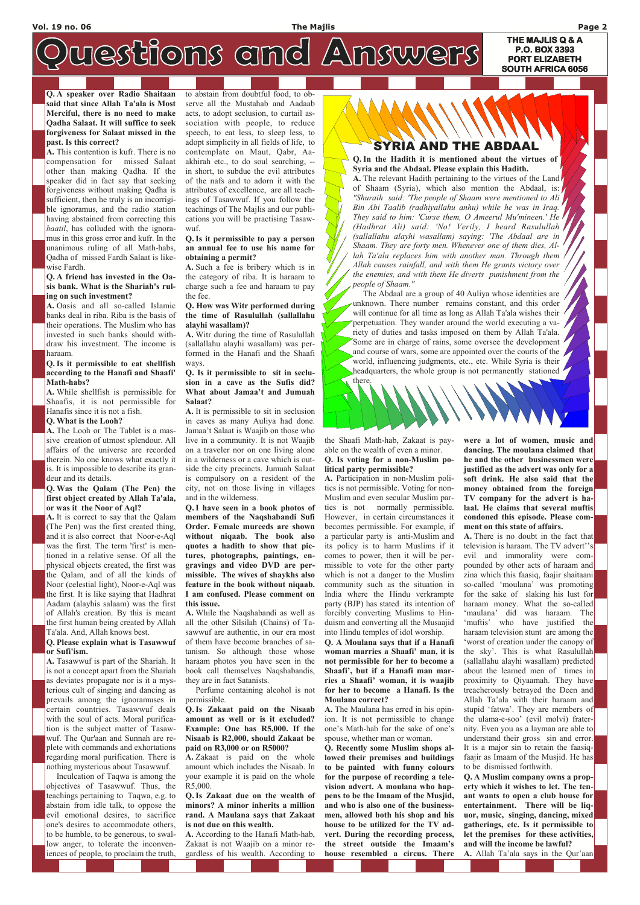**THE MAJLIS Q & A P.O. BOX 3393 PORT ELIZABETH PORT ELIZABETH SOUTH AFRICA 6056** 

# westions and Answers

#### Q. A speaker over Radio Shaitaan said that since Allah Ta'ala is Most Merciful, there is no need to make Qadha Salaat. It will suffice to seek forgiveness for Salaat missed in the past. Is this correct?

A. This contention is kufr. There is no compensation for missed Salaat other than making Qadha. If the speaker did in fact say that seeking forgiveness without making Qadha is sufficient, then he truly is an incorrigible ignoramus, and the radio station having abstained from correcting this baatil, has colluded with the ignoramus in this gross error and kufr. In the unanimous ruling of all Math-habs, Qadha of missed Fardh Salaat is likewise Fardh.

#### Q. A friend has invested in the Oasis bank. What is the Shariah's ruling on such investment?

A. Oasis and all so-called Islamic banks deal in riba. Riba is the basis of their operations. The Muslim who has invested in such banks should withdraw his investment. The income is haraam.

#### Q. Is it permissible to eat shellfish according to the Hanafi and Shaafi' Math-habs?

A. While shellfish is permissible for Shaafis, it is not permissible for Hanafis since it is not a fish.

#### Q. What is the Looh?

A. The Looh or The Tablet is a massive creation of utmost splendour. All affairs of the universe are recorded therein. No one knows what exactly it is. It is impossible to describe its grandeur and its details.

#### Q. Was the Qalam (The Pen) the first object created by Allah Ta'ala, or was it the Noor of Aql?

A. It is correct to say that the Qalam (The Pen) was the first created thing, and it is also correct that Noor-e-Aql was the first. The term 'first' is mentioned in a relative sense. Of all the physical objects created, the first was the Qalam, and of all the kinds of Noor (celestial light), Noor-e-Aql was the first. It is like saying that Hadhrat Aadam (alayhis salaam) was the first of Allah's creation. By this is meant the first human being created by Allah Ta'ala. And, Allah knows best.

#### Q. Please explain what is Tasawwuf or Sufi'ism.

A. Tasawwuf is part of the Shariah. It is not a concept apart from the Shariah as deviates propagate nor is it a mysterious cult of singing and dancing as prevails among the ignoramuses in certain countries. Tasawwuf deals with the soul of acts. Moral purification is the subject matter of Tasawwuf. The Qur'aan and Sunnah are replete with commands and exhortations regarding moral purification. There is nothing mysterious about Tasawwuf. Inculcation of Taqwa is among the objectives of Tasawwuf. Thus, the teachings pertaining to Taqwa, e.g. to abstain from idle talk, to oppose the evil emotional desires, to sacrifice one's desires to accommodate others, to be humble, to be generous, to swal-

low anger, to tolerate the inconveniences of people, to proclaim the truth,

to abstain from doubtful food, to observe all the Mustahab and Aadaab acts, to adopt seclusion, to curtail association with people, to reduce speech, to eat less, to sleep less, to adopt simplicity in all fields of life, to contemplate on Maut, Qabr, Aaakhirah etc., to do soul searching, - in short, to subdue the evil attributes of the nafs and to adorn it with the attributes of excellence, are all teachings of Tasawwuf. If you follow the teachings of The Majlis and our publications you will be practising Tasawwuf.

#### Q. Is it permissible to pay a person an annual fee to use his name for obtaining a permit?

A. Such a fee is bribery which is in the category of riba. It is haraam to charge such a fee and haraam to pay the fee.

#### Q. How was Witr performed during the time of Rasulullah (sallallahu alayhi wasallam)?

A. Witr during the time of Rasulullah (sallallahu alayhi wasallam) was performed in the Hanafi and the Shaafi ways.

#### Q. Is it permissible to sit in seclusion in a cave as the Sufis did? What about Jamaa't and Jumuah Salaat?

A. It is permissible to sit in seclusion in caves as many Auliya had done. Jamaa't Salaat is Waajib on those who live in a community. It is not Waajib on a traveler nor on one living alone in a wilderness or a cave which is outside the city precincts. Jumuah Salaat is compulsory on a resident of the city, not on those living in villages and in the wilderness.

Q. I have seen in a book photos of members of the Naqshabandi Sufi Order. Female mureeds are shown without niqaab. The book also quotes a hadith to show that pictures, photographs, paintings, engravings and video DVD are permissible. The wives of shaykhs also feature in the book without niqaab. I am confused. Please comment on this issue.

A. While the Naqshabandi as well as all the other Silsilah (Chains) of Tasawwuf are authentic, in our era most of them have become branches of satanism. So although those whose haraam photos you have seen in the book call themselves Naqshabandis, they are in fact Satanists.

## AND THE ABDAAL

 Perfume containing alcohol is not permissible.

Q. Is Zakaat paid on the Nisaab amount as well or is it excluded? Example: One has R5,000. If the Nisaab is R2,000, should Zakaat be paid on R3,000 or on R5000?

A. Zakaat is paid on the whole amount which includes the Nisaab. In your example it is paid on the whole R5,000.

Q. Is Zakaat due on the wealth of minors? A minor inherits a million rand. A Maulana says that Zakaat is not due on this wealth.

A. According to the Hanafi Math-hab, Zakaat is not Waajib on a minor regardless of his wealth. According to the Shaafi Math-hab, Zakaat is payable on the wealth of even a minor. Q. Is voting for a non-Muslim po-

## litical party permissible?

A. Participation in non-Muslim politics is not permissible. Voting for non-Muslim and even secular Muslim parties is not normally permissible. However, in certain circumstances it becomes permissible. For example, if a particular party is anti-Muslim and its policy is to harm Muslims if it comes to power, then it will be permissible to vote for the other party which is not a danger to the Muslim community such as the situation in India where the Hindu verkrampte party (BJP) has stated its intention of forcibly converting Muslims to Hinduism and converting all the Musaajid into Hindu temples of idol worship.

Q. A Moulana says that if a Hanafi woman marries a Shaafi' man, it is not permissible for her to become a Shaafi', but if a Hanafi man marries a Shaafi' woman, it is waajib

#### for her to become a Hanafi. Is the Moulana correct?

A. The Maulana has erred in his opinion. It is not permissible to change one's Math-hab for the sake of one's spouse, whether man or woman.

Q. Recently some Muslim shops allowed their premises and buildings to be painted with funny colours for the purpose of recording a television advert. A moulana who happens to be the Imaam of the Musjid, and who is also one of the businessmen, allowed both his shop and his house to be utilized for the TV advert. During the recording process, the street outside the Imaam's house resembled a circus. There were a lot of women, music and dancing. The moulana claimed that he and the other businessmen were justified as the advert was only for a soft drink. He also said that the money obtained from the foreign TV company for the advert is halaal. He claims that several muftis condoned this episode. Please comment on this state of affairs.

A. There is no doubt in the fact that television is haraam. The TV advert''s evil and immorality were compounded by other acts of haraam and zina which this faasiq, faajir shaitaani so-called 'moulana' was promoting for the sake of slaking his lust for haraam money. What the so-called 'maulana' did was haraam. The 'muftis' who have justified the haraam television stunt are among the 'worst of creation under the canopy of the sky'. This is what Rasulullah (sallallahu alayhi wasallam) predicted about the learned men of times in proximity to Qiyaamah. They have treacherously betrayed the Deen and Allah Ta'ala with their haraam and stupid 'fatwa'. They are members of the ulama-e-soo' (evil molvi) fraternity. Even you as a layman are able to understand their gross sin and error. It is a major sin to retain the faasiqfaajir as Imaam of the Musjid. He has to be dismissed forthwith. Q. A Muslim company owns a property which it wishes to let. The tenant wants to open a club house for entertainment. There will be liquor, music, singing, dancing, mixed gatherings, etc. Is it permissible to let the premises for these activities, and will the income be lawful?

A. Allah Ta'ala says in the Qur'aan

Q. In the Hadith it is mentioned about the virtues of Syria and the Abdaal. Please explain this Hadith. A. The relevant Hadith pertaining to the virtues of the Land of Shaam (Syria), which also mention the Abdaal, is: "Shuraih said: 'The people of Shaam were mentioned to Ali Bin Abi Taalib (radhiyallahu anhu) while he was in Iraq. They said to him: 'Curse them, O Ameerul Mu'mineen.' He (Hadhrat Ali) said: 'No! Verily, I heard Rasulullah (sallallahu alayhi wasallam) saying: 'The Abdaal are in Shaam. They are forty men. Whenever one of them dies, Allah Ta'ala replaces him with another man. Through them Allah causes rainfall, and with them He grants victory over the enemies, and with them He diverts punishment from the people of Shaam."

The Abdaal are a group of 40 Auliya whose identities are unknown. There number remains constant, and this order will continue for all time as long as Allah Ta'ala wishes their perpetuation. They wander around the world executing a variety of duties and tasks imposed on them by Allah Ta'ala. Some are in charge of rains, some oversee the development and course of wars, some are appointed over the courts of the world, influencing judgments, etc., etc. While Syria is their headquarters, the whole group is not permanently stationed there.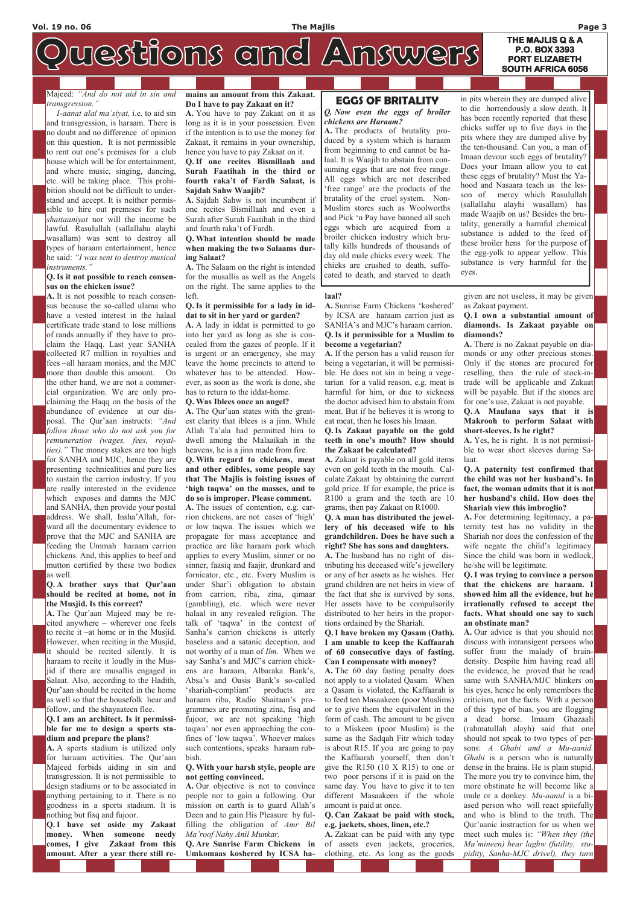**P.O. BOX 3393 PORT ELIZABETH SOUTH AFRICA 6056** 

# westions and Answers

Majeed: "And do not aid in sin and transgression."

 I-aanat alal ma'siyat, i.e. to aid sin and transgression, is haraam. There is no doubt and no difference of opinion on this question. It is not permissible to rent out one's premises for a club house which will be for entertainment, and where music, singing, dancing, etc. will be taking place. This prohibition should not be difficult to understand and accept. It is neither permissible to hire out premises for such shaitaaniyat nor will the income be lawful. Rasulullah (sallallahu alayhi wasallam) was sent to destroy all types of haraam entertainment, hence he said: "I was sent to destroy musical instruments."

#### Q. Is it not possible to reach consensus on the chicken issue?

A. It is not possible to reach consensus because the so-called ulama who have a vested interest in the halaal certificate trade stand to lose millions of rands annually if they have to proclaim the Haqq. Last year SANHA collected R7 million in royalties and fees –all haraam monies, and the MJC more than double this amount. On the other hand, we are not a commercial organization. We are only proclaiming the Haqq on the basis of the abundance of evidence at our disposal. The Qur'aan instructs: "And follow those who do not ask you for remuneration (wages, fees, royalties)." The money stakes are too high for SANHA and MJC, hence they are presenting technicalities and pure lies to sustain the carrion industry. If you are really interested in the evidence which exposes and damns the MJC and SANHA, then provide your postal address. We shall, Insha'Allah, forward all the documentary evidence to prove that the MJC and SANHA are feeding the Ummah haraam carrion chickens. And, this applies to beef and mutton certified by these two bodies as well.

#### Q. A brother says that Qur'aan should be recited at home, not in the Musjid. Is this correct?

A. The Qur'aan Majeed may be recited anywhere – wherever one feels to recite it –at home or in the Musjid. However, when reciting in the Musjid, it should be recited silently. It is haraam to recite it loudly in the Musjid if there are musallis engaged in Salaat. Also, according to the Hadith, Qur'aan should be recited in the home as well so that the housefolk hear and follow, and the shayaateen flee. Q. I am an architect. Is it permissible for me to design a sports stadium and prepare the plans? A. A sports stadium is utilized only for haraam activities. The Qur'aan Majeed forbids aiding in sin and transgression. It is not permissible to design stadiums or to be associated in anything pertaining to it. There is no goodness in a sports stadium. It is nothing but fisq and fujoor. Q. I have set aside my Zakaat money. When someone needy comes, I give Zakaat from this amount. After a year there still re-

#### mains an amount from this Zakaat. Do I have to pay Zakaat on it?

A. You have to pay Zakaat on it as long as it is in your possession. Even if the intention is to use the money for Zakaat, it remains in your ownership, hence you have to pay Zakaat on it.

#### Q. If one recites Bismillaah and Surah Faatihah in the third or fourth raka't of Fardh Salaat, is Sajdah Sahw Waajib?

A. Sajdah Sahw is not incumbent if one recites Bismillaah and even a Surah after Surah Faatihah in the third and fourth raka't of Fardh.

#### Q. What intention should be made when making the two Salaams during Salaat?

A. The Salaam on the right is intended for the musallis as well as the Angels on the right. The same applies to the left.

#### Q. Is it permissible for a lady in iddat to sit in her yard or garden?

A. A lady in iddat is permitted to go into her yard as long as she is concealed from the gazes of people. If it is urgent or an emergency, she may leave the home precincts to attend to whatever has to be attended. However, as soon as the work is done, she has to return to the iddat-home.

#### Q. Was Iblees once an angel?

A. The Qur'aan states with the greatest clarity that iblees is a jinn. While Allah Ta'ala had permitted him to dwell among the Malaaikah in the heavens, he is a jinn made from fire.

Q. With regard to chickens, meat and other edibles, some people say that The Majlis is foisting issues of 'high taqwa' on the masses, and to do so is improper. Please comment. A. The issues of contention, e.g. car-

> A. Our advice is that you should not discuss with intransigent persons who suffer from the malady of braindensity. Despite him having read all the evidence, he proved that he read same with SANHA/MJC blinkers on his eyes, hence he only remembers the criticism, not the facts. With a person of this type of bias, you are flogging a dead horse. Imaam Ghazaali (rahmatullah alayh) said that one should not speak to two types of persons: A Ghabi and a Mu-aanid. Ghabi is a person who is naturally dense in the brains. He is plain stupid. The more you try to convince him, the more obstinate he will become like a mule or a donkey. Mu-aanid is a biased person who will react spitefully and who is blind to the truth. The Qur'aanic instruction for us when we meet such mules is: "When they (the Mu'mineen) hear laghw (futility, stupidity, Sanha-MJC drivel), they turn

rion chickens, are not cases of 'high' or low taqwa. The issues which we propagate for mass acceptance and practice are like haraam pork which applies to every Muslim, sinner or no sinner, faasiq and faajir, drunkard and fornicator, etc., etc. Every Muslim is under Shar'i obligation to abstain from carrion, riba, zina, qimaar (gambling), etc. which were never halaal in any revealed religion. The talk of 'taqwa' in the context of Sanha's carrion chickens is utterly baseless and a satanic deception, and not worthy of a man of Ilm. When we say Sanha's and MJC's carrion chickens are haraam, Albaraka Bank's, Absa's and Oasis Bank's so-called 'shariah-compliant' products are haraam riba, Radio Shaitaan's programmes are promoting zina, fisq and fujoor, we are not speaking 'high taqwa' nor even approaching the confines of 'low taqwa'. Whoever makes such contentions, speaks haraam rubbish.

Q. With your harsh style, people are not getting convinced.

A. Our objective is not to convince people nor to gain a following. Our mission on earth is to guard Allah's Deen and to gain His Pleasure by fulfilling the obligation of Amr Bil Ma'roof Nahy Anil Munkar.

Q. Are Sunrise Farm Chickens in Umkomaas koshered by ICSA ha-

#### laal?

A. Sunrise Farm Chickens 'koshered' by ICSA are haraam carrion just as SANHA's and MJC's haraam carrion. Q. Is it permissible for a Muslim to become a vegetarian?

A. If the person has a valid reason for being a vegetarian, it will be permissible. He does not sin in being a vegetarian for a valid reason, e.g. meat is harmful for him, or due to sickness the doctor advised him to abstain from meat. But if he believes it is wrong to eat meat, then he loses his Imaan.

#### Q. Is Zakaat payable on the gold teeth in one's mouth? How should the Zakaat be calculated?

A. Zakaat is payable on all gold items even on gold teeth in the mouth. Calculate Zakaat by obtaining the current gold price. If for example, the price is R100 a gram and the teeth are 10 grams, then pay Zakaat on R1000.

Q. A man has distributed the jewellery of his deceased wife to his grandchildren. Does he have such a right? She has sons and daughters. A. The husband has no right of distributing his deceased wife's jewellery or any of her assets as he wishes. Her

grand children are not heirs in view of the fact that she is survived by sons. Her assets have to be compulsorily distributed to her heirs in the proportions ordained by the Shariah.

#### Q. I have broken my Qasam (Oath). I am unable to keep the Kaffaarah of 60 consecutive days of fasting. Can I compensate with money?

A. The 60 day fasting penalty does not apply to a violated Qasam. When

a Qasam is violated, the Kaffaarah is to feed ten Masaakeen (poor Muslims) or to give them the equivalent in the form of cash. The amount to be given to a Miskeen (poor Muslim) is the same as the Sadqah Fitr which today is about R15. If you are going to pay the Kaffaarah yourself, then don't give the R150 (10 X R15) to one or two poor persons if it is paid on the same day. You have to give it to ten different Masaakeen if the whole amount is paid at once.

Q. Can Zakaat be paid with stock, e.g. jackets, shoes, linen, etc.?

A. Zakaat can be paid with any type of assets even jackets, groceries, clothing, etc. As long as the goods given are not useless, it may be given as Zakaat payment.

#### Q. I own a substantial amount of diamonds. Is Zakaat payable on diamonds?

A. There is no Zakaat payable on diamonds or any other precious stones. Only if the stones are procured for reselling, then the rule of stock-intrade will be applicable and Zakaat will be payable. But if the stones are for one's use, Zakaat is not payable.

#### Q. A Maulana says that it is Makrooh to perform Salaat with short-sleeves. Is he right?

A. Yes, he is right. It is not permissible to wear short sleeves during Salaat.

Q. A paternity test confirmed that the child was not her husband's. In fact, the woman admits that it is not her husband's child. How does the Shariah view this imbroglio?

A. For determining legitimacy, a paternity test has no validity in the Shariah nor does the confession of the wife negate the child's legitimacy. Since the child was born in wedlock, he/she will be legitimate.

Q. I was trying to convince a person that the chickens are haraam. I showed him all the evidence, but he irrationally refused to accept the facts. What should one say to such an obstinate man?

## EGGS OF BRITALITY

#### Q. Now even the eggs of broiler chickens are Haraam?

A. The products of brutality produced by a system which is haraam from beginning to end cannot be halaal. It is Waajib to abstain from consuming eggs that are not free range. All eggs which are not described 'free range' are the products of the brutality of the cruel system. Non-Muslim stores such as Woolworths and Pick 'n Pay have banned all such eggs which are acquired from a broiler chicken industry which brutally kills hundreds of thousands of day old male chicks every week. The chicks are crushed to death, suffocated to death, and starved to death

in pits wherein they are dumped alive to die horrendously a slow death. It has been recently reported that these chicks suffer up to five days in the pits where they are dumped alive by the ten-thousand. Can you, a man of Imaan devour such eggs of brutality? Does your Imaan allow you to eat these eggs of brutality? Must the Yahood and Nasaara teach us the lesson of mercy which Rasulullah (sallallahu alayhi wasallam) has made Waajib on us? Besides the brutality, generally a harmful chemical substance is added to the feed of these broiler hens for the purpose of the egg-yolk to appear yellow. This substance is very harmful for the eyes.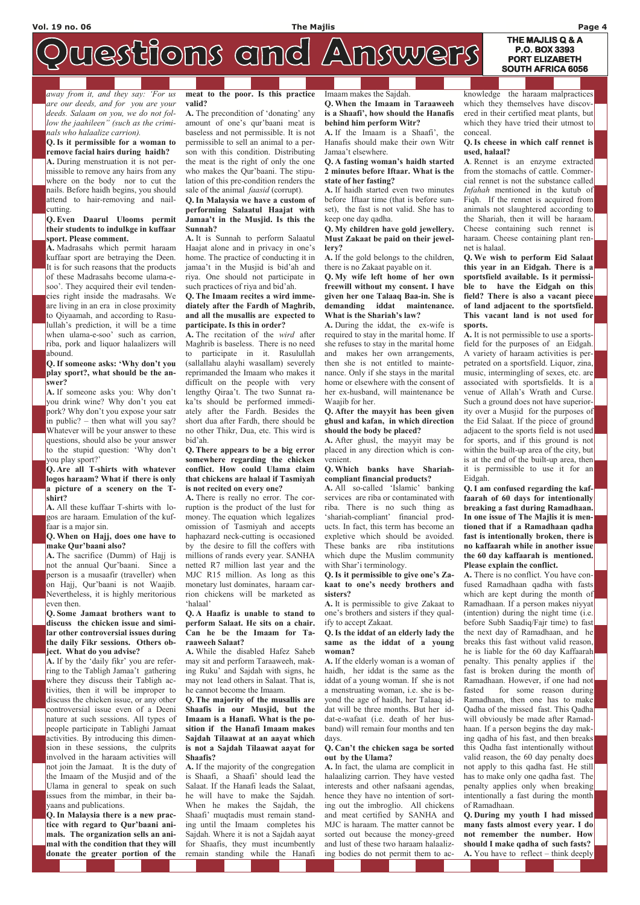### **THE MAJLIS Q & A P.O. BOX 3393 PORT ELIZABETH**

**SOUTH AFRICA 6056** 

# westions and Answers

away from it, and they say: 'For us are our deeds, and for you are your deeds. Salaam on you, we do not follow the jaahileen" (such as the criminals who halaalize carrion).

Q. Is it permissible for a woman to remove facial hairs during haidh?

A. During menstruation it is not permissible to remove any hairs from any where on the body nor to cut the nails. Before haidh begins, you should attend to hair-removing and nailcutting.

#### Q. Even Daarul Ulooms permit their students to indulkge in kuffaar sport. Please comment.

A. Madrasahs which permit haraam kuffaar sport are betraying the Deen. It is for such reasons that the products of these Madrasahs become ulama-esoo'. They acquired their evil tendencies right inside the madrasahs. We are living in an era in close proximity to Qiyaamah, and according to Rasulullah's prediction, it will be a time when ulama-e-soo' such as carrion, riba, pork and liquor halaalizers will abound.

Q. If someone asks: 'Why don't you play sport?, what should be the answer?

A. If someone asks you: Why don't you drink wine? Why don't you eat pork? Why don't you expose your satr in public? – then what will you say? Whatever will be your answer to these questions, should also be your answer to the stupid question: 'Why don't you play sport?'

A. The precondition of 'donating' any amount of one's qur'baani meat is baseless and not permissible. It is not permissible to sell an animal to a person with this condition. Distributing the meat is the right of only the one who makes the Qur'baani. The stipulation of this pre-condition renders the sale of the animal *faasid* (corrupt).

Q. Are all T-shirts with whatever logos haraam? What if there is only a picture of a scenery on the Tshirt?

A. All these kuffaar T-shirts with logos are haraam. Emulation of the kuffaar is a major sin.

#### Q. When on Hajj, does one have to make Qur'baani also?

A. The sacrifice (Dumm) of Hajj is not the annual Qur'baani. Since a person is a musaafir (traveller) when on Hajj, Qur'baani is not Waajib. Nevertheless, it is highly meritorious even then.

Q. Some Jamaat brothers want to discuss the chicken issue and similar other controversial issues during the daily Fikr sessions. Others object. What do you advise?

A. If by the 'daily fikr' you are referring to the Tabligh Jamaa't gathering where they discuss their Tabligh ac-

tivities, then it will be improper to discuss the chicken issue, or any other controversial issue even of a Deeni nature at such sessions. All types of people participate in Tablighi Jamaat activities. By introducing this dimension in these sessions, the culprits involved in the haraam activities will not join the Jamaat. It is the duty of the Imaam of the Musjid and of the Ulama in general to speak on such issues from the mimbar, in their bayaans and publications.

Q. In Malaysia there is a new practice with regard to Qur'baani animals. The organization sells an animal with the condition that they will donate the greater portion of the meat to the poor. Is this practice valid?

#### Q. In Malaysia we have a custom of performing Salaatul Haajat with Jamaa't in the Musjid. Is this the Sunnah?

A. It is Sunnah to perform Salaatul Haajat alone and in privacy in one's home. The practice of conducting it in jamaa't in the Musjid is bid'ah and riya. One should not participate in such practices of riya and bid'ah.

#### Q. The Imaam recites a wird immediately after the Fardh of Maghrib, and all the musallis are expected to participate. Is this in order?

A. The recitation of the wird after Maghrib is baseless. There is no need to participate in it. Rasulullah (sallallahu alayhi wasallam) severely reprimanded the Imaam who makes it difficult on the people with very lengthy Qiraa't. The two Sunnat raka'ts should be performed immediately after the Fardh. Besides the short dua after Fardh, there should be no other Thikr, Dua, etc. This wird is bid'ah.

#### Q. There appears to be a big error somewhere regarding the chicken conflict. How could Ulama claim that chickens are halaal if Tasmiyah is not recited on every one?

A. There is really no error. The corruption is the product of the lust for money. The equation which legalizes omission of Tasmiyah and accepts haphazard neck-cutting is occasioned by the desire to fill the coffers with millions of rands every year. SANHA netted R7 million last year and the MJC R15 million. As long as this monetary lust dominates, haraam carrion chickens will be marketed as 'halaal'

#### Q. A Haafiz is unable to stand to perform Salaat. He sits on a chair. Can he be the Imaam for Taraaweeh Salaat?

A. While the disabled Hafez Saheb may sit and perform Taraaweeh, making Ruku' and Sajdah with signs, he may not lead others in Salaat. That is,

he cannot become the Imaam.

Q. The majority of the musallis are Shaafis in our Musjid, but the Imaam is a Hanafi. What is the position if the Hanafi Imaam makes Sajdah Tilaawat at an aayat which is not a Sajdah Tilaawat aayat for Shaafis?

A. If the majority of the congregation is Shaafi, a Shaafi' should lead the Salaat. If the Hanafi leads the Salaat, he will have to make the Sajdah. When he makes the Sajdah, the Shaafi' muqtadis must remain standing until the Imaam completes his Sajdah. Where it is not a Sajdah aayat for Shaafis, they must incumbently remain standing while the Hanafi

Q. During my youth I had missed many fasts almost every year. I do not remember the number. How should I make qadha of such fasts? A. You have to reflect – think deeply

#### Imaam makes the Sajdah.

Q. When the Imaam in Taraaweeh is a Shaafi', how should the Hanafis behind him perform Witr?

A. If the Imaam is a Shaafi', the Hanafis should make their own Witr Jamaa't elsewhere.

#### Q. A fasting woman's haidh started 2 minutes before Iftaar. What is the state of her fasting?

A. If haidh started even two minutes before Iftaar time (that is before sunset), the fast is not valid. She has to keep one day qadha.

Q. My children have gold jewellery. Must Zakaat be paid on their jewellery?

A. If the gold belongs to the children, there is no Zakaat payable on it.

Q. My wife left home of her own freewill without my consent. I have given her one Talaaq Baa-in. She is demanding iddat maintenance. What is the Shariah's law?

A. During the iddat, the ex-wife is required to stay in the marital home. If she refuses to stay in the marital home and makes her own arrangements, then she is not entitled to maintenance. Only if she stays in the marital home or elsewhere with the consent of her ex-husband, will maintenance be Waajib for her.

#### Q. After the mayyit has been given ghusl and kafan, in which direction should the body be placed?

A. After ghusl, the mayyit may be placed in any direction which is convenient.

#### Q. Which banks have Shariahcompliant financial products?

A. All so-called 'Islamic' banking services are riba or contaminated with riba. There is no such thing as 'shariah-compliant' financial products. In fact, this term has become an expletive which should be avoided. These banks are riba institutions which dupe the Muslim community with Shar'i terminology.

#### Q. Is it permissible to give one's Zakaat to one's needy brothers and sisters?

A. It is permissible to give Zakaat to one's brothers and sisters if they qualify to accept Zakaat.

#### Q. Is the iddat of an elderly lady the same as the iddat of a young woman?

A. If the elderly woman is a woman of haidh, her iddat is the same as the iddat of a young woman. If she is not

a menstruating woman, i.e. she is beyond the age of haidh, her Talaaq iddat will be three months. But her iddat-e-wafaat (i.e. death of her husband) will remain four months and ten days.

#### Q. Can't the chicken saga be sorted out by the Ulama?

A. In fact, the ulama are complicit in halaalizing carrion. They have vested interests and other nafsaani agendas, hence they have no intention of sorting out the imbroglio. All chickens and meat certified by SANHA and MJC is haraam. The matter cannot be sorted out because the money-greed and lust of these two haraam halaalizing bodies do not permit them to acknowledge the haraam malpractices which they themselves have discovered in their certified meat plants, but which they have tried their utmost to conceal.

#### Q. Is cheese in which calf rennet is used, halaal?

A. Rennet is an enzyme extracted from the stomachs of cattle. Commercial rennet is not the substance called Infahah mentioned in the kutub of Fiqh. If the rennet is acquired from animals not slaughtered according to the Shariah, then it will be haraam. Cheese containing such rennet is haraam. Cheese containing plant rennet is halaal.

Q. We wish to perform Eid Salaat this year in an Eidgah. There is a sportsfield available. Is it permissible to have the Eidgah on this field? There is also a vacant piece of land adjacent to the sportsfield. This vacant land is not used for sports.

A. It is not permissible to use a sportsfield for the purposes of an Eidgah. A variety of haraam activities is perpetrated on a sportsfield. Liquor, zina, music, intermingling of sexes, etc. are associated with sportsfields. It is a venue of Allah's Wrath and Curse. Such a ground does not have superiority over a Musjid for the purposes of the Eid Salaat. If the piece of ground adjacent to the sports field is not used for sports, and if this ground is not within the built-up area of the city, but is at the end of the built-up area, then it is permissible to use it for an Eidgah.

Q. I am confused regarding the kaffaarah of 60 days for intentionally breaking a fast during Ramadhaan. In one issue of The Majlis it is mentioned that if a Ramadhaan qadha fast is intentionally broken, there is no kaffaarah while in another issue the 60 day kaffaarah is mentioned. Please explain the conflict.

A. There is no conflict. You have confused Ramadhaan qadha with fasts which are kept during the month of Ramadhaan. If a person makes niyyat (intention) during the night time (i.e. before Subh Saadiq/Fajr time) to fast the next day of Ramadhaan, and he breaks this fast without valid reason, he is liable for the 60 day Kaffaarah penalty. This penalty applies if the fast is broken during the month of Ramadhaan. However, if one had not fasted for some reason during Ramadhaan, then one has to make Qadha of the missed fast. This Qadha will obviously be made after Ramadhaan. If a person begins the day making qadha of his fast, and then breaks this Qadha fast intentionally without valid reason, the 60 day penalty does not apply to this qadha fast. He still has to make only one qadha fast. The penalty applies only when breaking intentionally a fast during the month of Ramadhaan.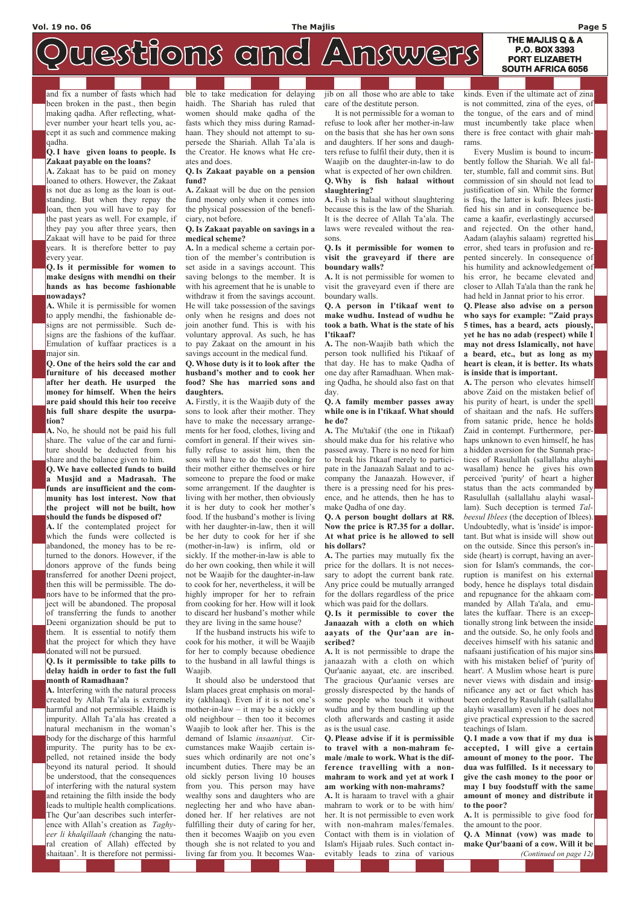## **THE MAJLIS Q & A**

# westions and Answers

and fix a number of fasts which had been broken in the past., then begin making qadha. After reflecting, whatever number your heart tells you, accept it as such and commence making qadha.

#### Q. I have given loans to people. Is Zakaat payable on the loans?

A. Zakaat has to be paid on money loaned to others. However, the Zakaat is not due as long as the loan is outstanding. But when they repay the loan, then you will have to pay for the past years as well. For example, if they pay you after three years, then Zakaat will have to be paid for three years. It is therefore better to pay every year.

#### Q. Is it permissible for women to make designs with mendhi on their hands as has become fashionable nowadays?

A. While it is permissible for women to apply mendhi, the fashionable designs are not permissible. Such designs are the fashions of the kuffaar. Emulation of kuffaar practices is a major sin.

Q. One of the heirs sold the car and furniture of his deceased mother after her death. He usurped the money for himself. When the heirs are paid should this heir too receive his full share despite the usurpation?

A. No, he should not be paid his full share. The value of the car and furniture should be deducted from his share and the balance given to him.

Q. We have collected funds to build a Musjid and a Madrasah. The funds are insufficient and the community has lost interest. Now that the project will not be built, how should the funds be disposed of?

A. If the contemplated project for which the funds were collected is abandoned, the money has to be returned to the donors. However, if the donors approve of the funds being transferred for another Deeni project, then this will be permissible. The donors have to be informed that the project will be abandoned. The proposal of transferring the funds to another Deeni organization should be put to them. It is essential to notify them that the project for which they have donated will not be pursued.

Q. Is it permissible to take pills to delay haidh in order to fast the full month of Ramadhaan?

A. Interfering with the natural process created by Allah Ta'ala is extremely harmful and not permissible. Haidh is impurity. Allah Ta'ala has created a natural mechanism in the woman's body for the discharge of this harmful impurity. The purity has to be expelled, not retained inside the body beyond its natural period. It should be understood, that the consequences of interfering with the natural system and retaining the filth inside the body leads to multiple health complications. The Qur'aan describes such interference with Allah's creation as Taghyeer li khalqillaah (changing the natural creation of Allah) effected by shaitaan'. It is therefore not permissible to take medication for delaying haidh. The Shariah has ruled that women should make qadha of the fasts which they miss during Ramadhaan. They should not attempt to supersede the Shariah. Allah Ta'ala is the Creator. He knows what He creates and does.

#### Q. Is Zakaat payable on a pension fund?

A. Zakaat will be due on the pension fund money only when it comes into the physical possession of the beneficiary, not before.

#### Q. Is Zakaat payable on savings in a medical scheme?

A. In a medical scheme a certain portion of the member's contribution is set aside in a savings account. This saving belongs to the member. It is with his agreement that he is unable to withdraw it from the savings account. He will take possession of the savings only when he resigns and does not join another fund. This is with his voluntary approval. As such, he has to pay Zakaat on the amount in his savings account in the medical fund.

#### Q. Whose duty is it to look after the husband's mother and to cook her food? She has married sons and daughters.

A. Firstly, it is the Waajib duty of the sons to look after their mother. They have to make the necessary arrangements for her food, clothes, living and comfort in general. If their wives sinfully refuse to assist him, then the sons will have to do the cooking for their mother either themselves or hire someone to prepare the food or make some arrangement. If the daughter is living with her mother, then obviously it is her duty to cook her mother's food. If the husband's mother is living with her daughter-in-law, then it will be her duty to cook for her if she (mother-in-law) is infirm, old or sickly. If the mother-in-law is able to do her own cooking, then while it will not be Waajib for the daughter-in-law to cook for her, nevertheless, it will be highly improper for her to refrain from cooking for her. How will it look to discard her husband's mother while they are living in the same house?

 If the husband instructs his wife to cook for his mother, it will be Waajib for her to comply because obedience to the husband in all lawful things is Waajib.

It should also be understood that

Islam places great emphasis on morality (akhlaaq). Even if it is not one's mother-in-law – it may be a sickly or old neighbour – then too it becomes Waajib to look after her. This is the demand of Islamic insaaniyat. Circumstances make Waajib certain issues which ordinarily are not one's incumbent duties. There may be an old sickly person living 10 houses from you. This person may have wealthy sons and daughters who are neglecting her and who have abandoned her. If her relatives are not fulfilling their duty of caring for her, then it becomes Waajib on you even though she is not related to you and living far from you. It becomes Waa-

**P.O. BOX 3393 PORT ELIZABETH SOUTH AFRICA 6056** 

jib on all those who are able to take care of the destitute person.

 It is not permissible for a woman to refuse to look after her mother-in-law on the basis that she has her own sons and daughters. If her sons and daughters refuse to fulfil their duty, then it is Waajib on the daughter-in-law to do what is expected of her own children. Q. Why is fish halaal without slaughtering?

A. Fish is halaal without slaughtering because this is the law of the Shariah. It is the decree of Allah Ta'ala. The laws were revealed without the reasons.

#### Q. Is it permissible for women to visit the graveyard if there are boundary walls?

A. It is not permissible for women to visit the graveyard even if there are boundary walls.

Q. A person in I'tikaaf went to make wudhu. Instead of wudhu he took a bath. What is the state of his I'tikaaf?

A. The non-Waajib bath which the person took nullified his I'tikaaf of that day. He has to make Qadha of one day after Ramadhaan. When making Qadha, he should also fast on that day.

#### Q. A family member passes away while one is in I'tikaaf. What should he do?

A. The Mu'takif (the one in I'tikaaf) should make dua for his relative who passed away. There is no need for him to break his I'tkaaf merely to participate in the Janaazah Salaat and to accompany the Janaazah. However, if there is a pressing need for his presence, and he attends, then he has to make Qadha of one day.

#### Q. A person bought dollars at R8. Now the price is R7.35 for a dollar. At what price is he allowed to sell his dollars?

A. The parties may mutually fix the price for the dollars. It is not necessary to adopt the current bank rate. Any price could be mutually arranged for the dollars regardless of the price which was paid for the dollars.

#### Q. Is it permissible to cover the Janaazah with a cloth on which aayats of the Qur'aan are inscribed?

A. It is not permissible to drape the janaazah with a cloth on which Qur'aanic aayaat, etc. are inscribed. The gracious Qur'aanic verses are

grossly disrespected by the hands of some people who touch it without wudhu and by them bundling up the cloth afterwards and casting it aside as is the usual case.

Q. Please advise if it is permissible to travel with a non-mahram female /male to work. What is the difference travelling with a nonmahram to work and yet at work I am working with non-mahrams? A. It is haraam to travel with a ghair mahram to work or to be with him/ her. It is not permissible to even work with non-mahram males/females. Contact with them is in violation of Islam's Hijaab rules. Such contact inevitably leads to zina of various

kinds. Even if the ultimate act of zina is not committed, zina of the eyes, of the tongue, of the ears and of mind must incumbently take place when there is free contact with ghair mahrams.

 Every Muslim is bound to incumbently follow the Shariah. We all falter, stumble, fall and commit sins. But commission of sin should not lead to justification of sin. While the former is fisq, the latter is kufr. Iblees justified his sin and in consequence became a kaafir, everlastingly accursed and rejected. On the other hand, Aadam (alayhis salaam) regretted his error, shed tears in profusion and repented sincerely. In consequence of his humility and acknowledgement of his error, he became elevated and closer to Allah Ta'ala than the rank he had held in Jannat prior to his error.

Q. Please also advise on a person who says for example: "Zaid prays 5 times, has a beard, acts piously, yet he has no adab (respect) while I may not dress Islamically, not have a beard, etc., but as long as my heart is clean, it is better. Its whats is inside that is important.

A. The person who elevates himself above Zaid on the mistaken belief of his purity of heart, is under the spell of shaitaan and the nafs. He suffers from satanic pride, hence he holds Zaid in contempt. Furthermore, perhaps unknown to even himself, he has a hidden aversion for the Sunnah practices of Rasulullah (sallallahu alayhi wasallam) hence he gives his own perceived 'purity' of heart a higher status than the acts commanded by Rasulullah (sallallahu alayhi wasallam). Such deception is termed Talbeesul Iblees (the deception of Iblees). Undoubtedly, what is 'inside' is important. But what is inside will show out on the outside. Since this person's inside (heart) is corrupt, having an aversion for Islam's commands, the corruption is manifest on his external body, hence he displays total disdain and repugnance for the ahkaam commanded by Allah Ta'ala, and emulates the kuffaar. There is an exceptionally strong link between the inside and the outside. So, he only fools and deceives himself with his satanic and nafsaani justification of his major sins with his mistaken belief of 'purity of heart'. A Muslim whose heart is pure never views with disdain and insig-

nificance any act or fact which has been ordered by Rasulullah (sallallahu alayhi wasallam) even if he does not give practical expression to the sacred teachings of Islam.

Q. I made a vow that if my dua is accepted, I will give a certain amount of money to the poor. The dua was fulfilled. Is it necessary to give the cash money to the poor or may I buy foodstuff with the same amount of money and distribute it to the poor?

A. It is permissible to give food for the amount to the poor.

Q. A Minnat (vow) was made to make Qur'baani of a cow. Will it be

(Continued on page 12)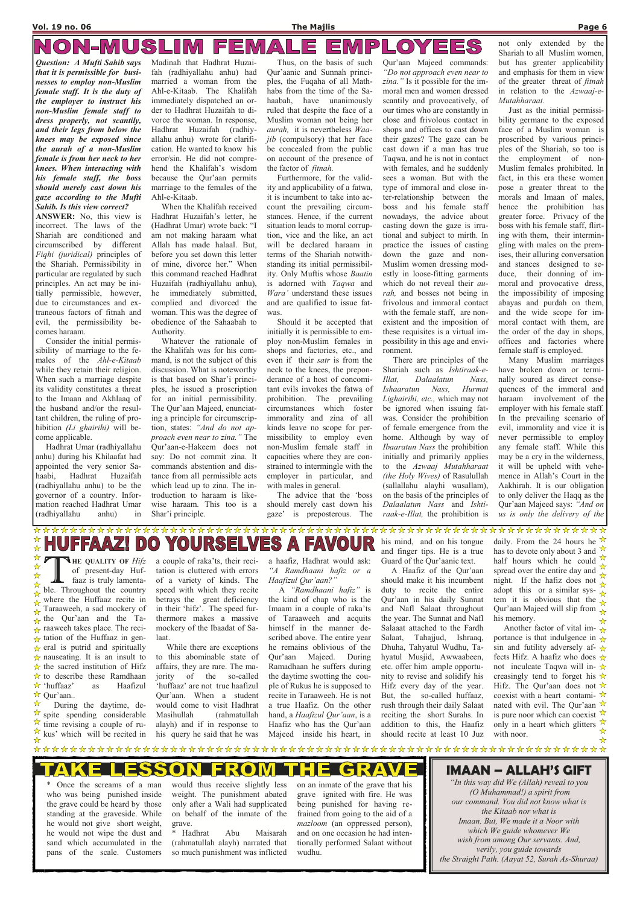#### NON-MUSLIM OYEES  $\vert P \vert$ 1 F I 曰  $\pmb{\Delta}$ 巨 三

a couple of raka'ts, their recitation is cluttered with errors of a variety of kinds. The speed with which they recite betrays the great deficiency in their 'hifz'. The speed furthermore makes a massive mockery of the Ibaadat of Salaat.

 While there are exceptions to this abominable state of affairs, they are rare. The majority of the so-called 'huffaaz' are not true haafizul Qur'aan. When a student would come to visit Hadhrat Masihullah (rahmatullah alayh) and if in response to his query he said that he was

a haafiz, Hadhrat would ask: "A Ramdhaani hafiz or a Haafizul Qur'aan?"

A "Ramdhaani hafiz" is the kind of chap who is the Imaam in a couple of raka'ts of Taraaweeh and acquits himself in the manner described above. The entire year he remains oblivious of the Qur'aan Majeed. During Ramadhaan he suffers during the daytime swotting the couple of Rukus he is supposed to recite in Taraaweeh. He is not a true Haafiz. On the other hand, a Haafizul Qur'aan, is a Haafiz who has the Qur'aan Majeed inside his heart, in

Once the screams of a man who was being punished inside the grave could be heard by those standing at the graveside. While he would not give short weight, he would not wipe the dust and sand which accumulated in the pans of the scale. Customers

his mind, and on his tongue and finger tips. He is a true Guard of the Qur'aanic text.

 A Haafiz of the Qur'aan should make it his incumbent duty to recite the entire Qur'aan in his daily Sunnat and Nafl Salaat throughout the year. The Sunnat and Nafl Salaaat attached to the Fardh Salaat, Tahajjud, Ishraaq, Dhuha, Tahyatul Wudhu, Tahyatul Musjid, Awwaabeen, etc. offer him ample opportunity to revise and solidify his Hifz every day of the year. But, the so-called huffaaz, rush through their daily Salaat reciting the short Surahs. In addition to this, the Haafiz should recite at least 10 Juz daily. From the 24 hours he  $\sqrt{\lambda}$ has to devote only about 3 and  $\frac{1}{2}$ half hours which he could  $\frac{1}{\lambda}$ spread over the entire day and night. If the hafiz does not adopt this or a similar sys- $\sqrt{\lambda}$ tem it is obvious that the  $\frac{1}{\sqrt{2}}$ Qur'aan Majeed will slip from  $\hat{\mathcal{L}}$ his memory. ☆

Another factor of vital im- $\frac{1}{X}$ portance is that indulgence in  $\frac{1}{N}$ sin and futility adversely af- $\frac{1}{N}$ fects Hifz. A haafiz who does  $\mathbf{\hat{x}}$ not inculcate Taqwa will in- $\mathbf{\hat{x}}$ creasingly tend to forget his  $\mathbf{\hat{x}}$ Hifz. The Our'aan does not  $\hat{\mathbf{x}}$ coexist with a heart contami-  $\mathbf{\hat{x}}$ nated with evil. The Qur'aan  $\mathbb{\hat{X}}$ is pure noor which can coexist  $\sqrt{\lambda}$ only in a heart which glitters  $\frac{1}{\mathcal{N}}$ with noor.  $\frac{1}{\sqrt{2}}$ 

#### Е **{0}** нЕ GR

would thus receive slightly less weight. The punishment abated only after a Wali had supplicated on behalf of the inmate of the grave.

\* Hadhrat Abu Maisarah (rahmatullah alayh) narrated that so much punishment was inflicted on an inmate of the grave that his grave ignited with fire. He was being punished for having refrained from going to the aid of a mazloom (an oppressed person), and on one occasion he had inten-

tionally performed Salaat without wudhu.

Question: A Mufti Sahib says that it is permissible for businesses to employ non-Muslim female staff. It is the duty of the employer to instruct his non-Muslim female staff to dress properly, not scantily, and their legs from below the knees may be exposed since the aurah of a non-Muslim female is from her neck to her knees. When interacting with his female staff, the boss should merely cast down his gaze according to the Mufti Sahib. Is this view correct?

ANSWER: No, this view is incorrect. The laws of the Shariah are conditioned and circumscribed by different Fiqhi (juridical) principles of the Shariah. Permissibility in particular are regulated by such principles. An act may be initially permissible, however, due to circumstances and extraneous factors of fitnah and evil, the permissibility becomes haraam.

 Consider the initial permissibility of marriage to the females of the Ahl-e-Kitaab while they retain their religion. When such a marriage despite its validity constitutes a threat to the Imaan and Akhlaaq of the husband and/or the resultant children, the ruling of prohibition (Li ghairihi) will become applicable.

 Hadhrat Umar (radhiyallahu anhu) during his Khilaafat had appointed the very senior Sahaabi, Hadhrat Huzaifah (radhiyallahu anhu) to be the governor of a country. Information reached Hadhrat Umar (radhiyallahu anhu) in

Madinah that Hadhrat Huzaifah (radhiyallahu anhu) had married a woman from the Ahl-e-Kitaab. The Khalifah immediately dispatched an order to Hadhrat Huzaifah to divorce the woman. In response, Hadhrat Huzaifah (radhiyallahu anhu) wrote for clarification. He wanted to know his error/sin. He did not comprehend the Khalifah's wisdom because the Qur'aan permits marriage to the females of the Ahl-e-Kitaab.

 When the Khalifah received Hadhrat Huzaifah's letter, he (Hadhrat Umar) wrote back: "I am not making haraam what Allah has made halaal. But, before you set down this letter of mine, divorce her." When this command reached Hadhrat Huzaifah (radhiyallahu anhu), he immediately submitted, complied and divorced the woman. This was the degree of obedience of the Sahaabah to Authority.

 Whatever the rationale of the Khalifah was for his command, is not the subject of this discussion. What is noteworthy is that based on Shar'i principles, he issued a proscription for an initial permissibility. The Qur'aan Majeed, enunciating a principle for circumscription, states: "And do not approach even near to zina." The Qur'aan-e-Hakeem does not say: Do not commit zina. It commands abstention and distance from all permissible acts which lead up to zina. The introduction to haraam is likewise haraam. This too is a Shar'i principle.

 Thus, on the basis of such Qur'aanic and Sunnah principles, the Fuqaha of all Mathhabs from the time of the Sahaabah, have unanimously ruled that despite the face of a Muslim woman not being her aurah, it is nevertheless Waajib (compulsory) that her face be concealed from the public on account of the presence of the factor of fitnah.

 Furthermore, for the validity and applicability of a fatwa, it is incumbent to take into account the prevailing circumstances. Hence, if the current situation leads to moral corruption, vice and the like, an act will be declared haraam in terms of the Shariah notwithstanding its initial permissibility. Only Muftis whose Baatin is adorned with Taqwa and Wara' understand these issues and are qualified to issue fatwas.

 Should it be accepted that initially it is permissible to employ non-Muslim females in shops and factories, etc., and even if their satr is from the neck to the knees, the preponderance of a host of concomitant evils invokes the fatwa of prohibition. The prevailing circumstances which foster immorality and zina of all kinds leave no scope for permissibility to employ even non-Muslim female staff in capacities where they are constrained to intermingle with the employer in particular, and with males in general.

 The advice that the 'boss should merely cast down his gaze' is preposterous. The

Qur'aan Majeed commands: "Do not approach even near to zina." Is it possible for the immoral men and women dressed scantily and provocatively, of our times who are constantly in close and frivolous contact in shops and offices to cast down their gazes? The gaze can be cast down if a man has true Taqwa, and he is not in contact with females, and he suddenly sees a woman. But with the type of immoral and close inter-relationship between the boss and his female staff nowadays, the advice about casting down the gaze is irrational and subject to mirth. In practice the issues of casting down the gaze and non-Muslim women dressing modestly in loose-fitting garments which do not reveal their aurah, and bosses not being in frivolous and immoral contact with the female staff, are nonexistent and the imposition of these requisites is a virtual impossibility in this age and environment.

 There are principles of the Shariah such as Ishtiraak-e-Illat, Dalaalatun Nass, Ishaaratun Nass, Hurmat Lighairihi, etc., which may not be ignored when issuing fatwas. Consider the prohibition of female emergence from the home. Although by way of Ibaaratun Nass the prohibition initially and primarily applies to the Azwaaj Mutahharaat (the Holy Wives) of Rasulullah (sallallahu alayhi wasallam), on the basis of the principles of Dalaalatun Nass and Ishtiraak-e-Illat, the prohibition is

not only extended by the Shariah to all Muslim women, but has greater applicability and emphasis for them in view of the greater threat of fitnah in relation to the Azwaaj-e-Mutahharaat.

Just as the initial permissibility germane to the exposed face of a Muslim woman is proscribed by various principles of the Shariah, so too is the employment of non-Muslim females prohibited. In fact, in this era these women pose a greater threat to the morals and Imaan of males, hence the prohibition has greater force. Privacy of the boss with his female staff, flirting with them, their intermingling with males on the premises, their alluring conversation and stances designed to seduce, their donning of immoral and provocative dress, the impossibility of imposing abayas and purdah on them, and the wide scope for immoral contact with them, are the order of the day in shops, offices and factories where female staff is employed.

 Many Muslim marriages have broken down or terminally soured as direct consequences of the immoral and haraam involvement of the employer with his female staff. In the prevailing scenario of evil, immorality and vice it is never permissible to employ any female staff. While this may be a cry in the wilderness, it will be upheld with vehemence in Allah's Court in the Aakhirah. It is our obligation to only deliver the Haqq as the Qur'aan Majeed says: "And on us is only the delivery of the

#### **\***<br>\* RS HUFFAAZ!  $\mathbf S$ A ELV FAVOI YOU Ε  $\mathsf{D}$  $\left( 0\right)$

☆ THE QUALITY OF Hifz<br>of present-day Huf-<br>faaz is truly lamenta-<br>ble. Throughout the country **HE QUALITY OF**  $Hi/z$  $\frac{1}{\mathcal{N}}$ of present-day Huf- $\frac{1}{\mathcal{N}}$ faaz is truly lamenta- $\frac{1}{\mathbf{k}^{\prime}}$  $\frac{\lambda}{\lambda}$ where the Huffaaz recite in  $\frac{1}{\mathcal{N}}$ Taraaweeh, a sad mockery of ☆  $\frac{1}{\sqrt{2}}$  the Qur'aan and the Ta- $\star$  raaweeh takes place. The reci- $\star$  tation of the Huffaaz in gen- $\star$  eral is putrid and spiritually  $\star$  nauseating. It is an insult to  $\star$  the sacred institution of Hifz  $\star$  to describe these Ramdhaan ☆ 'huffaaz' as Haafizul Qur'aan..  $\frac{1}{\mathcal{N}}$  During the daytime, de- $\overrightarrow{2}$  spite spending considerable  $\frac{1}{2}$  time revising a couple of ru- $\frac{1}{\sqrt{2}}$ kus' which will be recited in  $\frac{1}{\mathbf{k}^{\prime}}$ 

## IMAAN – ALLAH'S GIFT

"In this way did We (Allah) reveal to you (O Muhammad!) a spirit from our command. You did not know what is the Kitaab nor what is Imaan. But, We made it a Noor with which We guide whomever We wish from among Our servants. And, verily, you guide towards the Straight Path. (Aayat 52, Surah As-Shuraa)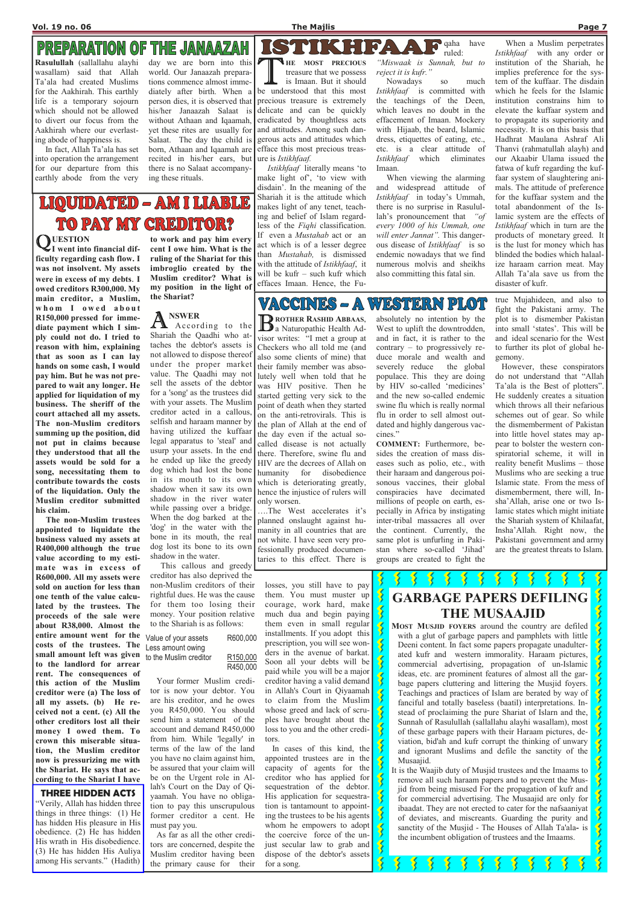## **PREPARATION OF THE JANAAZAH**

## GARBAGE PAPERS DEFILING THE MUSAAJID

MOST MUSJID FOYERS around the country are defiled with a glut of garbage papers and pamphlets with little Deeni content. In fact some papers propagate unadulterated kufr and western immorality. Haraam pictures, commercial advertising, propagation of un-Islamic ideas, etc. are prominent features of almost all the garbage papers cluttering and littering the Musjid foyers. Teachings and practices of Islam are berated by way of fanciful and totally baseless (baatil) interpretations. Instead of proclaiming the pure Shariat of Islarn and the, Sunnah of Rasulullah (sallallahu alayhi wasallam), most of these garbage papers with their Haraam pictures, deviation, bid'ah and kufr corrupt the thinking of unwary and ignorant Muslims and defile the sanctity of the Musaajid. It is the Waajib duty of Musjid trustees and the Imaams to remove all such haraam papers and to prevent the Musjid from being misused For the propagation of kufr and for commercial advertising. The Musaajid are only for ibaadat. They are not erected to cater for the nafsaaniyat of deviates, and miscreants. Guarding the purity and sanctity of the Musjid - The Houses of Allah Ta'ala- is the incumbent obligation of trustees and the Imaams.

QUESTION<br>I went into I went into financial difficulty regarding cash flow. I was not insolvent. My assets were in excess of my debts. I owed creditors R300,000. My main creditor, a Muslim, whom I owed about R150,000 pressed for immediate payment which I simply could not do. I tried to reason with him, explaining that as soon as I can lay hands on some cash, I would pay him. But he was not prepared to wait any longer. He applied for liquidation of my business. The sheriff of the court attached all my assets. The non-Muslim creditors summing up the position, did not put in claims because they understood that all the assets would be sold for a song, necessitating them to contribute towards the costs of the liquidation. Only the Muslim creditor submitted his claim.

 $\mathbf{A}^{\prime}$  According to the Shariah the Qaadhi who attaches the debtor's assets is not allowed to dispose thereof under the proper marke value. The Qaadhi may not sell the assets of the debtor for a 'song' as the trustees did with your assets. The Muslim creditor acted in a callous, selfish and haraam manner by having utilized the kuffaar legal apparatus to 'steal' and usurp your assets. In the end he ended up like the greedy dog which had lost the bone in its mouth to its own shadow when it saw its own shadow in the river water while passing over a bridge. When the dog barked at the 'dog' in the water with the bone in its mouth, the real dog lost its bone to its own shadow in the water.

 The non-Muslim trustees appointed to liquidate the business valued my assets at R400,000 although the true value according to my estimate was in excess of R600,000. All my assets were sold on auction for less than one tenth of the value calculated by the trustees. The proceeds of the sale were about R38,000. Almost the entire amount went for the costs of the trustees. The small amount left was given to the landlord for arrear rent. The consequences of this action of the Muslim creditor were (a) The loss of all my assets. (b) He received not a cent. (c) All the other creditors lost all their money I owed them. To crown this miserable situation, the Muslim creditor now is pressurizing me with the Shariat. He says that according to the Shariat I have

to work and pay him every cent I owe him. What is the ruling of the Shariat for this imbroglio created by the Muslim creditor? What is my position in the light of the Shariat?

## NSWER

THE MOST PRECIOUS<br>treasure that we possess<br>is Imaan. But it should<br>be understood that this most **NHE MOST PRECIOUS** treasure that we possess is Imaan. But it should precious treasure is extremely delicate and can be quickly eradicated by thoughtless acts and attitudes. Among such dangerous acts and attitudes which efface this most precious treasure is Istikhfaaf.

 This callous and greedy creditor has also deprived the non-Muslim creditors of their rightful dues. He was the cause for them too losing their money. Your position relative to the Shariah is as follows:

 Your former Muslim creditor is now your debtor. You are his creditor, and he owes you R450,000. You should send him a statement of the account and demand R450,000 from him. While 'legally' in terms of the law of the land you have no claim against him, be assured that your claim will be on the Urgent role in Allah's Court on the Day of Qiyaamah. You have no obligation to pay this unscrupulous former creditor a cent. He must pay you. As far as all the other creditors are concerned, despite the Muslim creditor having been the primary cause for their

#### VACCINES – A VAXYET A HELLON

**B** ROTHER RASHID ABBAAS, **DE ROTHER RASHID ABBAAS,** visor writes: "I met a group at Checkers who all told me (and also some clients of mine) that their family member was absolutely well when told that he was HIV positive. Then he started getting very sick to the point of death when they started on the anti-retrovirals. This is the plan of Allah at the end of the day even if the actual socalled disease is not actually there. Therefore, swine flu and HIV are the decrees of Allah on humanity for disobedience which is deteriorating greatly, hence the injustice of rulers will only worsen.

losses, you still have to pay them. You must muster up courage, work hard, make much dua and begin paying them even in small regular installments. If you adopt this prescription, you will see wonders in the avenue of barkat. Soon all your debts will be paid while you will be a major creditor having a valid demand

 $\frac{1}{2}$ 

 $\overline{\mathbf{X}}$ 

 $\frac{1}{2}$ 

 $\frac{2}{3}$ 

in Allah's Court in Qiyaamah to claim from the Muslim whose greed and lack of scruples have brought about the loss to you and the other creditors.

 In cases of this kind, the appointed trustees are in the capacity of agents for the creditor who has applied for sequestration of the debtor. His application for sequestration is tantamount to appointing the trustees to be his agents whom he empowers to adopt the coercive force of the unjust secular law to grab and dispose of the debtor's assets for a song.

#### THREE HIDDEN ACTS

Value of your assets R600,000 Less amount owing

"Verily, Allah has hidden three things in three things: (1) He has hidden His pleasure in His obedience. (2) He has hidden His wrath in His disobedience. (3) He has hidden His Auliya among His servants." (Hadith)

to the Muslim creditor R150,000 R450,000

Rasulullah (sallallahu alayhi wasallam) said that Allah Ta'ala had created Muslims for the Aakhirah. This earthly life is a temporary sojourn which should not be allowed to divert our focus from the Aakhirah where our everlasting abode of happiness is.

 In fact, Allah Ta'ala has set into operation the arrangement for our departure from this earthly abode from the very

day we are born into this world. Our Janaazah preparations commence almost immediately after birth. When a person dies, it is observed that his/her Janaazah Salaat is without Athaan and Iqaamah, yet these rites are usually for Salaat. The day the child is born, Athaan and Iqaamah are recited in his/her ears, but there is no Salaat accompanying these rituals.

 Istikhfaaf literally means 'to make light of', 'to view with disdain'. In the meaning of the Shariah it is the attitude which makes light of any tenet, teaching and belief of Islam regardless of the Fiqhi classification. If even a Mustahab act or an act which is of a lesser degree than Mustahab, is dismissed with the attitude of *Istikhfaaf*, it will be kufr – such kufr which effaces Imaan. Hence, the Fuqaha have ruled:

"Miswaak is Sunnah, but to reject it is kufr."

 $\left| \Delta \right|$ 

 $5.4$ 

 Nowadays so much Istikhfaaf is committed with the teachings of the Deen, which leaves no doubt in the effacement of Imaan. Mockery with Hijaab, the beard, Islamic dress, etiquettes of eating, etc., etc. is a clear attitude of Istikhfaaf which eliminates Imaan.

 When viewing the alarming and widespread attitude of Istikhfaaf in today's Ummah, there is no surprise in Rasulullah's pronouncement that "of" every 1000 of his Ummah, one will enter Jannat". This dangerous disease of Istikhfaaf is so endemic nowadays that we find numerous molvis and sheikhs also committing this fatal sin.

 When a Muslim perpetrates Istikhfaaf with any order or institution of the Shariah, he implies preference for the system of the kuffaar. The disdain which he feels for the Islamic institution constrains him to elevate the kuffaar system and to propagate its superiority and necessity. It is on this basis that Hadhrat Maulana Ashraf Ali Thanvi (rahmatullah alayh) and our Akaabir Ulama issued the fatwa of kufr regarding the kuffaar system of slaughtering animals. The attitude of preference for the kuffaar system and the total abandonment of the Islamic system are the effects of Istikhfaaf which in turn are the products of monetary greed. It is the lust for money which has blinded the bodies which halaalize haraam carrion meat. May Allah Ta'ala save us from the disaster of kufr.

# | Q ( \ ) U J | 1 ) /: \ U 3 | 1 **TO PAY MY CREDITOR?**

….The West accelerates it's planned onslaught against humanity in all countries that are not white. I have seen very professionally produced documentaries to this effect. There is

absolutely no intention by the West to uplift the downtrodden, and in fact, it is rather to the contrary – to progressively reduce morale and wealth and severely reduce the global populace. This they are doing by HIV so-called 'medicines' and the new so-called endemic swine flu which is really normal flu in order to sell almost outdated and highly dangerous vaccines."

COMMENT: Furthermore, besides the creation of mass diseases such as polio, etc., with their haraam and dangerous poisonous vaccines, their global conspiracies have decimated millions of people on earth, especially in Africa by instigating inter-tribal massacres all over the continent. Currently, the same plot is unfurling in Pakistan where so-called 'Jihad' groups are created to fight the

true Mujahideen, and also to fight the Pakistani army. The plot is to dismember Pakistan into small 'states'. This will be and ideal scenario for the West to further its plot of global hegemony.

 However, these conspirators do not understand that "Allah Ta'ala is the Best of plotters". He suddenly creates a situation which throws all their nefarious schemes out of gear. So while the dismemberment of Pakistan into little hovel states may appear to bolster the western conspiratorial scheme, it will in reality benefit Muslims – those Muslims who are seeking a true Islamic state. From the mess of dismemberment, there will, Insha'Allah, arise one or two Islamic states which might initiate the Shariah system of Khilaafat, Insha'Allah. Right now, the Pakistani government and army are the greatest threats to Islam.

 $\frac{1}{2}$ 

 $\overline{\mathbf{S}}$ 

 $\frac{1}{2}$ 

 $\overline{\mathbf{S}}$ 

 $\boldsymbol{\mathcal{S}}$ 

 $\tilde{\mathbf{z}}$ 

 $\overline{\mathbf{X}}$ 

 $\frac{1}{2}$ 

 $\tilde{\mathbf{z}}$ 

 $\overline{\mathbf{X}}$ 

**Y**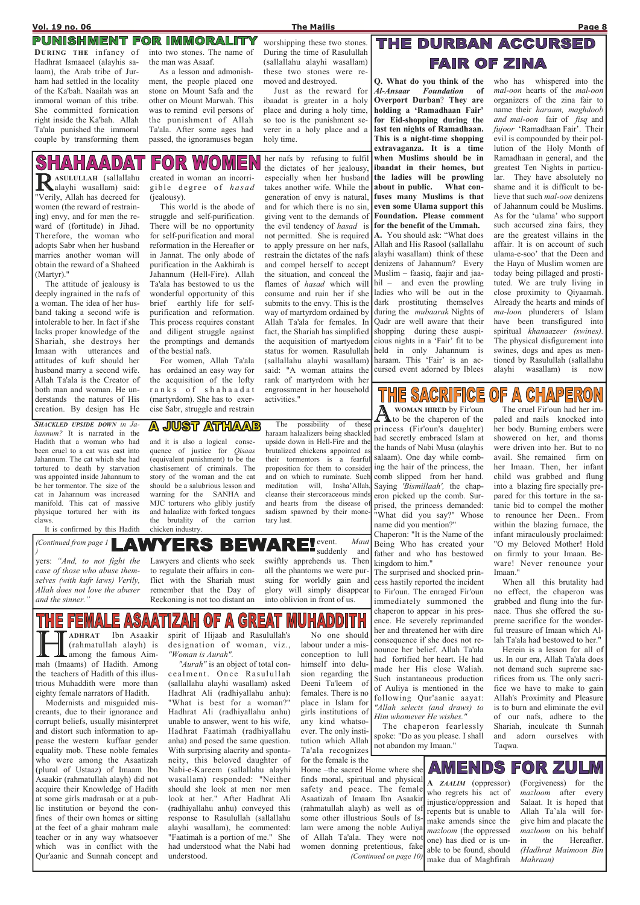### PUNISHMENT FOR IMMORALITY

trious Muhaddith were more than eighty female narrators of Hadith.

 Modernists and misguided miscreants, due to their ignorance and corrupt beliefs, usually misinterpret and distort such information to appease the western kuffaar gender equality mob. These noble females who were among the Asaatizah (plural of Ustaaz) of Imaam Ibn Asaakir (rahmatullah alayh) did not acquire their Knowledge of Hadith at some girls madrasah or at a public institution or beyond the confines of their own homes or sitting at the feet of a ghair mahram male teacher or in any way whatsoever which was in conflict with the Qur'aanic and Sunnah concept and

the teachers of Hadith of this illus-"Woman is Aurah". "Aurah" is an object of total concealment. Once Rasulullah (sallallahu alayhi wasallam) asked Hadhrat Ali (radhiyallahu anhu): "What is best for a woman?" Hadhrat Ali (radhiyallahu anhu) unable to answer, went to his wife, Hadhrat Faatimah (radhiyallahu anha) and posed the same question. With surprising alacrity and spontaneity, this beloved daughter of Nabi-e-Kareem (sallallahu alayhi wasallam) responded: "Neither should she look at men nor men look at her." After Hadhrat Ali (radhiyallahu anhu) conveyed this response to Rasulullah (sallallahu alayhi wasallam), he commented: "Faatimah is a portion of me." She had understood what the Nabi had understood.

**AMENDS FOR ZULM** Home –the sacred Home where she finds moral, spiritual and physical A ZAALIM (oppressor) (Forgiveness) for the safety and peace. The female who regrets his act of mazloom after every Asaatizah of Imaam Ibn Asaakir injustice/oppression and Salaat. It is hoped that (rahmatullah alayh) as well as of repents but is unable to Allah Ta'ala will forsome other illustrious Souls of Ismake amends since the give him and placate the lam were among the noble Auliya mazloom (the oppressed mazloom on his behalf of Allah Ta'ala. They were not one) has died or is unin the Hereafter. women donning pretentious, fake (Hadhrat Maimoon Bin able to be found, should (Continued on page 10) Mahraan) make dua of Maghfirah

#### and it is also a logical consequence of justice for *Qisaas*

**JUST ATHAAB** 

 No one should labour under a misconception to lull himself into delu-

sion regarding the

The possibility of thes haraam halaalizers being shackled upside down in Hell-Fire and the brutalized chickens appointed as their tormentors is a fearful proposition for them to consider and on which to ruminate. Such meditation will, Insha'Allah, cleanse their stercoraceous minds and hearts from the disease of sadism spawned by their monetary lust.

**ARE** event. Mau (Continued from page 1 ERS BE

tortured to death by starvation was appointed inside Jahannum to be her tormentor. The size of the cat in Jahannum was increased manifold. This cat of massive physique tortured her with its claws.

It is confirmed by this Hadith

(equivalent punishment) to be the chastisement of criminals. The story of the woman and the cat should be a salubrious lesson and and halaalize with forked tongues the brutality of the carrion chicken industry.

warning for the SANHA and MJC torturers who glibly justify

**A** WOMAN HIRED by Fir'oun<br>to be the chaperon of the WOMAN HIRED by Fir'oun princess (Fir'oun's daughter) had secretly embraced Islam at the hands of Nabi Musa (alayhis salaam). One day while combing the hair of the princess, the comb slipped from her hand. Saying 'Bismillaah', the chaperon picked up the comb. Surprised, the princess demanded: "What did you say?" Whose name did you mention?"

Deeni Ta'leem females. There is no place in Islam for girls institutions of any kind whatsoever. The only institution which Allah Ta'ala recognizes for the female is the of Auliya is mentioned in the following Qur'aanic aayat: "Allah selects (and draws) to Him whomever He wishes." The chaperon fearlessly spoke: "Do as you please. I shall not abandon my Imaan."

Q. What do you think of the Al-Ansaar Foundation of Overport Durban? They are holding a 'Ramadhaan Fair' for Eid-shopping during the last ten nights of Ramadhaan. This is a night-time shopping extravaganza. It is a time when Muslims should be in ibaadat in their homes, but the ladies will be prowling about in public. What confuses many Muslims is that even some Ulama support this Foundation. Please comment for the benefit of the Ummah. A. You should ask: "What does Allah and His Rasool (sallallahu alayhi wasallam) think of these denizens of Jahannum? Every Muslim – faasiq, faajir and jaahil – and even the prowling ladies who will be out in the dark prostituting themselves during the mubaarak Nights of Qadr are well aware that their shopping during these auspicious nights in a 'Fair' fit to be held in only Jahannum is haraam. This 'Fair' is an accursed event adorned by Iblees

RASULULLAH (sallallahu alayhi wasallam) said: "Verily, Allah has decreed for women (the reward of restraining) envy, and for men the reward of (fortitude) in Jihad. Therefore, the woman who adopts Sabr when her husband marries another woman will obtain the reward of a Shaheed

SHAHAADA

SHACKLED UPSIDE DOWN in Jahannum? It is narrated in the Hadith that a woman who had been cruel to a cat was cast into Jahannum. The cat which she had Imaan with utterances and attitudes of kufr should her husband marry a second wife. Allah Ta'ala is the Creator of both man and woman. He understands the natures of His creation. By design has He

created in woman an incorrigible degree of hasad

**FOR WOME** 

who has whispered into the mal-oon hearts of the mal-oon organizers of the zina fair to name their haraam, maghdoob and mal-oon fair of fisq and fujoor 'Ramadhaan Fair'. Their evil is compounded by their pollution of the Holy Month of Ramadhaan in general, and the greatest Ten Nights in particular. They have absolutely no shame and it is difficult to believe that such mal-oon denizens of Jahannum could be Muslims. As for the 'ulama' who support such accursed zina fairs, they are the greatest villains in the affair. It is on account of such ulama-e-soo' that the Deen and the Haya of Muslim women are today being pillaged and prostituted. We are truly living in close proximity to Qiyaamah. Already the hearts and minds of ma-loon plunderers of Islam have been transfigured into spiritual khanaazeer (swines). The physical disfigurement into swines, dogs and apes as mentioned by Rasulullah (sallallahu

#### **CHAPERON** <u>THE SACRIFICE</u> (0))

alayhi wasallam) is now

yers: "And, to not fight the case of those who abuse themselves (with kufr laws) Verily, Allah does not love the abuser and the sinner."

her nafs by refusing to fulfil the dictates of her jealousy, especially when her husband takes another wife. While the generation of envy is natural, and for which there is no sin, giving vent to the demands of the evil tendency of hasad is not permitted. She is required to apply pressure on her nafs, restrain the dictates of the nafs and compel herself to accept the situation, and conceal the flames of hasad which will consume and ruin her if she submits to the envy. This is the way of martyrdom ordained by Allah Ta'ala for females. In fact, the Shariah has simplified the acquisition of martyedom status for women. Rasulullah (sallallahu alayhi wasallam) said: "A woman attains the rank of martyrdom with her engrossment in her household activities."

Lawyers and clients who seek to regulate their affairs in conflict with the Shariah must remember that the Day of Reckoning is not too distant an

suddenly and

E ASA  $[0]$ E. (G  $\overline{\mathsf{L}}$ **HERENAL ART STATEST ANDERS AND ASSESSMENT (rahmatullah alayh)** is<br>among the famous Aim-<br>mah (Imaams) of Hadith. Among ADHRAT Ibn Asaakir spirit of Hijaab and Rasulullah's (rahmatullah alayh) is designation of woman, viz., **L** among the famous Aim-

swiftly apprehends us. Then all the phantoms we were pursuing for worldly gain and glory will simply disappear into oblivion in front of us.

## THE DURBAN ACCURSED **FAIR OF ZINA**

)

Chaperon: "It is the Name of the Being Who has created your father and who has bestowed kingdom to him."

The surprised and shocked princess hastily reported the incident to Fir'oun. The enraged Fir'oun immediately summoned the chaperon to appear in his presence. He severely reprimanded her and threatened her with dire consequence if she does not renounce her belief. Allah Ta'ala had fortified her heart. He had made her His close Waliah. Such instantaneous production

 The cruel Fir'oun had her impaled and nails knocked into her body. Burning embers were showered on her, and thorns were driven into her. But to no avail. She remained firm on her Imaan. Then, her infant child was grabbed and flung into a blazing fire specially prepared for this torture in the satanic bid to compel the mother to renounce her Deen.. From within the blazing furnace, the infant miraculously proclaimed: "O my Beloved Mother! Hold on firmly to your Imaan. Beware! Never renounce your Imaan."

 When all this brutality had no effect, the chaperon was grabbed and flung into the furnace. Thus she offered the supreme sacrifice for the wonderful treasure of Imaan which Allah Ta'ala had bestowed to her."

 Herein is a lesson for all of us. In our era, Allah Ta'ala does not demand such supreme sacrifices from us. The only sacrifice we have to make to gain Allah's Proximity and Pleasure is to burn and eliminate the evil of our nafs, adhere to the Shariah, inculcate th Sunnah and adorn ourselves with Taqwa.

DURING THE infancy of Hadhrat Ismaaeel (alayhis salaam), the Arab tribe of Jurham had settled in the locality of the Ka'bah. Naailah was an immoral woman of this tribe. She committed fornication right inside the Ka'bah. Allah Ta'ala punished the immoral couple by transforming them into two stones. The name of the man was Asaaf.

 As a lesson and admonishment, the people placed one stone on Mount Safa and the other on Mount Marwah. This was to remind evil persons of the punishment of Allah Ta'ala. After some ages had passed, the ignoramuses began

worshipping these two stones. During the time of Rasulullah (sallallahu alayhi wasallam) these two stones were removed and destroyed.

 Just as the reward for ibaadat is greater in a holy place and during a holy time, so too is the punishment severer in a holy place and a holy time.

(Martyr)."

 The attitude of jealousy is deeply ingrained in the nafs of a woman. The idea of her husband taking a second wife is intolerable to her. In fact if she lacks proper knowledge of the Shariah, she destroys her (jealousy).

 This world is the abode of struggle and self-purification. There will be no opportunity for self-purification and moral reformation in the Hereafter or in Jannat. The only abode of purification in the Aakhirah is Jahannum (Hell-Fire). Allah Ta'ala has bestowed to us the wonderful opportunity of this brief earthly life for selfpurification and reformation. This process requires constant and diligent struggle against the promptings and demands

of the bestial nafs.

 For women, Allah Ta'ala has ordained an easy way for the acquisition of the lofty ranks of shahaadat (martyrdom). She has to exercise Sabr, struggle and restrain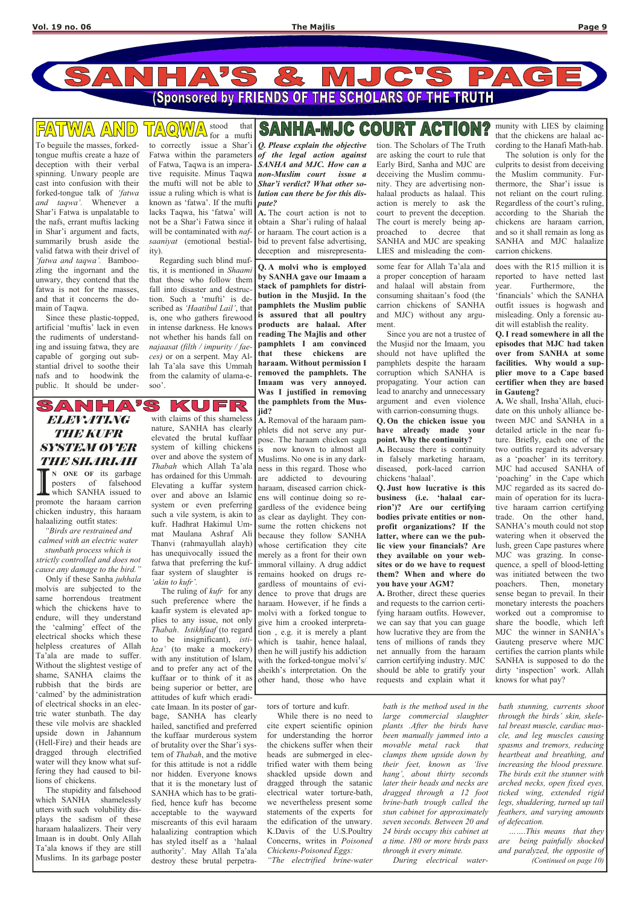

To beguile the masses, forkedtongue muftis create a haze of deception with their verbal spinning. Unwary people are cast into confusion with their forked-tongue talk of 'fatwa and taqwa'. Whenever a Shar'i Fatwa is unpalatable to the nafs, errant muftis lacking in Shar'i argument and facts, summarily brush aside the valid fatwa with their drivel of 'fatwa and taqwa'. Bamboozling the ingornant and the unwary, they contend that the fatwa is not for the masses, and that it concerns the domain of Taqwa.

#### FATWA AND stood that

# **SANHA-MJC COURT ACTION?**

 Since these plastic-topped, artificial 'muftis' lack in even the rudiments of understanding and issuing fatwa, they are capable of gorging out substantial drivel to soothe their nafs and to hoodwink the public. It should be under-

for a mufti to correctly issue a Shar'i Fatwa within the parameters of Fatwa, Taqwa is an imperative requisite. Minus Taqwa the mufti will not be able to issue a ruling which is what is known as 'fatwa'. If the mufti lacks Taqwa, his 'fatwa' will not be a Shar'i Fatwa since it will be contaminated with nafsaaniyat (emotional bestiality).

 Regarding such blind muftis, it is mentioned in Shaami that those who follow them fall into disaster and destruction. Such a 'mufti' is described as 'Haatibul Lail', that is, one who gathers firewood in intense darkness. He knows not whether his hands fall on najaasat (filth / impurity / faeces) or on a serpent. May Allah Ta'ala save this Ummah from the calamity of ulama-esoo'.

## ELEVATIONG THE KUNR SYSTEM OVER THE SHARIAH

 $S/A$ 

I N ONE OF its garbage<br>posters of falsehood<br>which SANHA issued to<br>promote the haraam carrion N ONE OF its garbage posters of falsehood which SANHA issued to chicken industry, this haraam halaalizing outfit states:

Q. Please explain the objective of the legal action against SANHA and MJC. How can a non-Muslim court issue a Shar'i verdict? What other solution can there be for this dispute?

A. The court action is not to obtain a Shar'i ruling of halaal or haraam. The court action is a bid to prevent false advertising, deception and misrepresenta-

tion. The Scholars of The Truth are asking the court to rule that Early Bird, Sanha and MJC are deceiving the Muslim community. They are advertising nonhalaal products as halaal. This action is merely to ask the court to prevent the deception. The court is merely being approached to decree that SANHA and MJC are speaking LIES and misleading the com-

KUFR with claims of this shameless nature, SANHA has clearly elevated the brutal kuffaar system of killing chickens over and above the system of Thabah which Allah Ta'ala has ordained for this Ummah. Elevating a kuffar system over and above an Islamic system or even preferring such a vile system, is akin to kufr. Hadhrat Hakimul Ummat Maulana Ashraf Ali Thanvi (rahmayullah alayh) has unequivocally issued the fatwa that preferring the kuffaar system of slaughter is 'akin to kufr'.

munity with LIES by claiming that the chickens are halaal according to the Hanafi Math-hab.

 The solution is only for the culprits to desist from deceiving the Muslim community. Furthermore, the Shar'i issue is not reliant on the court ruling. Regardless of the court's ruling, according to the Shariah the chickens are haraam carrion, and so it shall remain as long as SANHA and MJC halaalize carrion chickens.

The ruling of *kufr* for any such preference where the kaafir system is elevated applies to any issue, not only Thabah. Istikhfaaf (to regard to be insignificant), *isti* hza' (to make a mockery) with any institution of Islam, and to prefer any act of the kuffaar or to think of it as being superior or better, are attitudes of kufr which eradicate Imaan. In its poster of garbage, SANHA has clearly hailed, sanctified and preferred the kuffaar murderous system of brutality over the Shar'i system of Thabah, and the motive for this attitude is not a riddle nor hidden. Everyone knows that it is the monetary lust of SANHA which has to be gratified, hence kufr has become acceptable to the wayward miscreants of this evil haraam halaalizing contraption which has styled itself as a 'halaal authority'. May Allah Ta'ala destroy these brutal perpetra-

"Birds are restrained and calmed with an electric water

stunbath process which is strictly controlled and does not cause any damage to the bird."

Q. A molvi who is employed by SANHA gave our Imaam a stack of pamphlets for distribution in the Musjid. In the pamphlets the Muslim public is assured that all poultry products are halaal. After reading The Majlis and other pamphlets I am convinced that these chickens are haraam. Without permission I removed the pamphlets. The Imaam was very annoyed. Was I justified in removing the pamphlets from the Musjid?

 Only if these Sanha juhhala molvis are subjected to the same horrendous treatment which the chickens have to endure, will they understand the 'calming' effect of the electrical shocks which these helpless creatures of Allah Ta'ala are made to suffer. Without the slightest vestige of shame, SANHA claims the rubbish that the birds are 'calmed' by the administration of electrical shocks in an electric water stunbath. The day these vile molvis are shackled upside down in Jahannum (Hell-Fire) and their heads are dragged through electrified water will they know what suffering they had caused to billions of chickens. The stupidity and falsehood which SANHA shamelessly utters with such volubility displays the sadism of these haraam halaalizers. Their very Imaan is in doubt. Only Allah Ta'ala knows if they are still Muslims. In its garbage poster

tors of torture and kufr.

 While there is no need to cite expert scientific opinion for understanding the horror the chickens suffer when their heads are submerged in electrified water with them being shackled upside down and dragged through the satanic electrical water torture-bath, we nevertheless present some statements of the experts for the edification of the unwary. K.Davis of the U.S.Poultry Concerns, writes in Poisoned Chickens-Poisoned Eggs:

"The electrified brine-water

bath is the method used in the large commercial slaughter plants .After the birds have been manually jammed into a movable metal rack that clamps them upside down by their feet, known as 'live hang', about thirty seconds later their heads and necks are dragged through a 12 foot brine-bath trough called the stun cabinet for approximately seven seconds. Between 20 and 24 birds occupy this cabinet at a time. 180 or more birds pass through it every minute. During electrical water-

bath stunning, currents shoot through the birds' skin, skeletal breast muscle, cardiac muscle, and leg muscles causing spasms and tremors, reducing heartbeat and breathing, and increasing the blood pressure. The birds exit the stunner with arched necks, open fixed eyes, ticked wing, extended rigid legs, shuddering, turned up tail feathers, and varying amounts of defecation.

 …….This means that they are being painfully shocked and paralyzed, the opposite of (Continued on page 10)

A. Removal of the haraam pam-

phlets did not serve any purpose. The haraam chicken saga is now known to almost all Muslims. No one is in any darkness in this regard. Those who are addicted to devouring haraam, diseased carrion chickens will continue doing so regardless of the evidence being as clear as daylight. They consume the rotten chickens not because they follow SANHA whose certification they cite merely as a front for their own immoral villainy. A drug addict remains hooked on drugs regardless of mountains of evidence to prove that drugs are

some fear for Allah Ta'ala and a proper conception of haraam and halaal will abstain from consuming shaitaan's food (the carrion chickens of SANHA and MJC) without any argument.

 Since you are not a trustee of the Musjid nor the Imaam, you should not have uplifted the pamphlets despite the haraam corruption which SANHA is propagating. Your action can lead to anarchy and unnecessary argument and even violence with carrion-consuming thugs.

Q. On the chicken issue you have already made your point. Why the continuity?

A. Because there is continuity in falsely marketing haraam, diseased, pork-laced carrion chickens 'halaal'.

Q. Just how lucrative is this business (i.e. 'halaal carrion')? Are our certifying bodies private entities or nonprofit organizations? If the latter, where can we the public view your financials? Are they available on your websites or do we have to request them? When and where do you have your AGM?

haraam. However, if he finds a molvi with a forked tongue to give him a crooked interpretation , e.g. it is merely a plant which is taahir, hence halaal, then he will justify his addiction with the forked-tongue molvi's/ sheikh's interpretation. On the other hand, those who have A. Brother, direct these queries and requests to the carrion certifying haraam outfits. However, we can say that you can guage how lucrative they are from the tens of millions of rands they net annually from the haraam carrion certifying industry. MJC should be able to gratify your requests and explain what it knows for what pay?

does with the R15 million it is reported to have netted last year. Furthermore, the 'financials' which the SANHA outfit issues is hogwash and misleading. Only a forensic audit will establish the reality.

Q. I read somewhere in all the episodes that MJC had taken over from SANHA at some facilities. Why would a supplier move to a Cape based certifier when they are based in Gauteng?

A. We shall, Insha'Allah, elucidate on this unholy alliance between MJC and SANHA in a detailed article in the near future. Briefly, each one of the two outfits regard its adversary as a 'poacher' in its territory. MJC had accused SANHA of 'poaching' in the Cape which MJC regarded as its sacred domain of operation for its lucrative haraam carrion certifying trade. On the other hand, SANHA's mouth could not stop watering when it observed the lush, green Cape pastures where MJC was grazing. In consequence, a spell of blood-letting was initiated between the two poachers. Then, monetary sense began to prevail. In their monetary interests the poachers worked out a compromise to share the boodle, which left MJC the winner in SANHA's Gauteng preserve where MJC certifies the carrion plants while SANHA is supposed to do the dirty 'inspection' work. Allah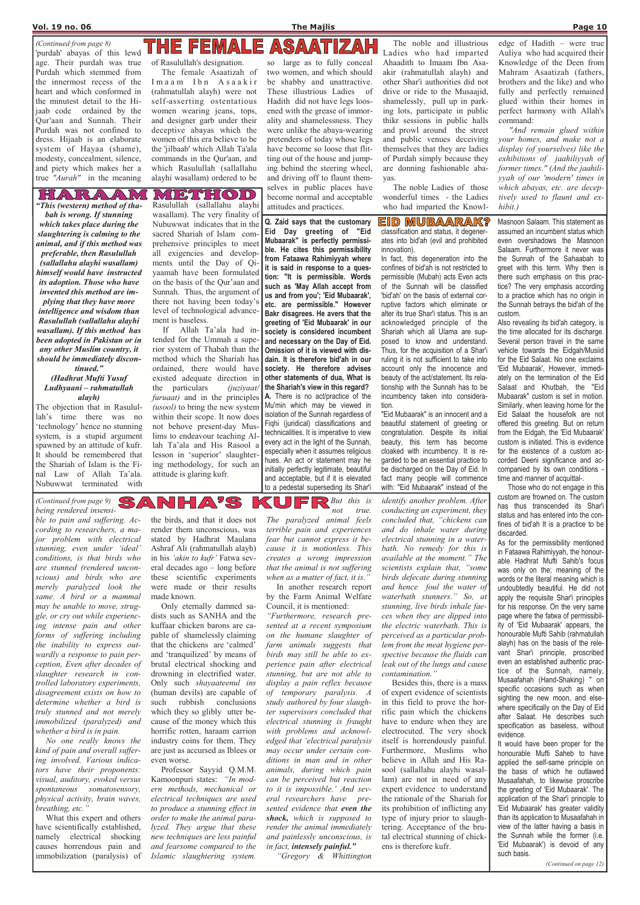EID MUBAARAK? classification and status, it degenerates into bid'ah (evil and prohibited

Mubaarak" is perfectly permissible. He cites this permissibility from Fataawa Rahimiyyah where it is said in response to a question: "It is permissible. Words such as 'May Allah accept from us and from you'; 'Eid Mubaarak', etc. are permissible." However Bakr disagrees. He avers that the greeting of 'Eid Mubaarak' in our society is considered incumbent and necessary on the Day of Eid. Omission of it is viewed with disdain. It is therefore bid'ah in our society. He therefore advises other statements of dua, What is the Shariah's view in this regard? A. There is no act/practice of the Mu'min which may be viewed in isolation of the Sunnah regardless of Fiqhi (juridical) classifications and technicalities. It is imperative to view every act in the light of the Sunnah, especially when it assumes religious hues. An act or statement may he initially perfectly legitimate, beautiful and acceptable, but if it is elevated to a pedestal superseding its Shar'i

Q. Zaid says that the customary Eid Day greeting of "Eid innovation). In fact, this degeneration into the

confines of bid'ah is not restricted to permissible (Mubah) acts Even acts of the Sunnah will be classified 'bid'ah' on the basis of external corruptive factors which eliminate or alter its true Shar'i status. This is an acknowledged principle of the Shariah which all Ulama are supposed to know and understand. Thus, for the acquisition of a Shar'i ruling it is not sufficient to take into account only the innocence and beauty of the act/statement. Its relationship with the Sunnah has to be incumbency taken into consideration.

"Eid Mubaarak" is an innocent and a beautiful statement of greeting or congratulation. Despite its initial beauty, this term has become cloaked with incumbency. It is regarded to be an essential practice to be discharged on the Day of Eid. In fact many people will commence with: "Eid Mubaarak" instead of the

Also revealing its bid'ah category, is the time allocated for its discharge. Several person travel in the same vehicle towards the Eidgah/Musiid for the Eid Salaat. No one exclaims 'Eid Mubaarak', However, immediately on the termination of the Eid Salaat and Khutbah, the "Eid Mubaarak" custom is set in motion. Similarly, when leaving home for the Eid Salaat the housefolk are not offered this greeting. But on return from the Eidgah, the 'Eid Mubaarak' custom is initiated. This is evidence for the existence of a custom accorded Deeni significance and accompanied by its own conditions time and manner of acquittal-.

 Those who do not engage in this custom are frowned on. The custom has thus transcended its Shar'i status and has entered into the confines of bid'ah It is a practice to be discarded.

The paralyzed animal feels terrible pain and experiences fear but cannot express it because it is motionless. This creates a wrong impression that the animal is not suffering when as a matter of fact, it is."

As for the permissibility mentioned in Fataawa Rahimiyyah, the honourable Hadhrat Mufti Sahib's focus was only on the; meaning of the words or the literal meaning which is undoubtedly beautiful. He did not apply the requisite Shar'i principles for his response. On the very same page where the fatwa of permissibility of 'Eid Mubaarak' appears, the honourable Mufti Sahib (rahmatullah alayh) has on the basis of the relevant Shar'i principle, proscribed even an established authentic practice of the Sunnah, namely, Musaafahah (Hand-Shaking) '' on specific occasions such as when sighting the new moon, and elsewhere specifically on the Day of Eid after Salaat. He describes such specification as baseless, without evidence. It would have been proper for the honourable Mufti Saheb to have applied the self-same principle on the basis of which he outlawed Musaafahah, to likewise proscribe the greeting of 'Eid Mubaarak'. The application of the Shar'i principle to 'Eid Mubaarak' has greater validity than its application to Musaafahah in view of the latter having a basis in the Sunnah while the former (i.e. 'Eid Mubaarak') is devoid of any such basis.

(Continued from page 9)  $\sum_{\Delta}$ (Continued from page 9)

(Continued on page 12)

ble to pain and suffering. According to researchers, a major problem with electrical stunning, even under 'ideal' conditions, is that birds who are stunned (rendered unconscious) and birds who are merely paralyzed look the same. A bird or a mammal may be unable to move, struggle, or cry out while experiencing intense pain and other forms of suffering including the inability to express outwardly a response to pain perception, Even after decades of slaughter research in controlled laboratory experiments, disagreement exists on how to determine whether a bird is truly stunned and not merely immobilized (paralyzed) and whether a bird is in pain. No one really knows the kind of pain and overall suffering involved. Various indicators have their proponents: visual, auditory, evoked versus spontaneous somatosensory, physical activity, brain waves, breathing, etc." What this expert and others have scientifically established, namely electrical shocking causes horrendous pain and immobilization (paralysis) of

"And remain glued within your homes, and make not a display (of yourselves) like the exhibitions of jaahiliyyah of former times." (And the jaahiliyyah of our 'modern' times in which abayas, etc. are decep-

the birds, and that it does not render them unconscious, was stated by Hadhrat Maulana Ashraf Ali (rahmatullah alayh) in his 'akin to kufr' Fatwa several decades ago – long before these scientific experiments were made or their results made known.

NHA'S

 $02117000$ Rasulullah (sallallahu alayhi wasallam). The very finality of Nubuwwat indicates that in the sacred Shariah of Islam comprehensive principles to meet all exigencies and developments until the Day of Qiyaamah have been formulated on the basis of the Qur'aan and Sunnah. Thus, the argument of there not having been today's level of technological advancement is baseless.

 Only eternally damned sadists such as SANHA and the kuffaar chicken barons are capable of shamelessly claiming that the chickens are 'calmed' and 'tranquilized' by means of brutal electrical shocking and drowning in electrified water. Only such shayaateenul ins (human devils) are capable of such rubbish conclusions which they so glibly utter because of the money which this horrific rotten, haraam carrion industry coins for them. They are just as accursed as Iblees or even worse. Professor Sayyid Q.M.M. Kamoonpuri states: "In modern methods, mechanical or electrical techniques are used to produce a stunning effect in order to make the animal paralyzed. They argue that these new techniques are less painful and fearsome compared to the Islamic slaughtering system.

Masnoon Salaam. This statement as assumed an incumbent status which even overshadows the Masnoon Salaam. Furthermore it never was the Sunnah of the Sahaabah to greet with this term. Why then is there such emphasis on this practice? The very emphasis according to a practice which has no origin in the Sunnah betrays the bid'ah of the custom. tively used to flaunt and exhibit.)

In another research report by the Farm Animal Welfare Council, it is mentioned:

"Furthermore, research pre-

sented at a recent symposium on the humane slaughter of farm animals suggests that birds may still be able to experience pain after electrical stunning, but are not able to display a pain reflex because of temporary paralysis. A study authored by four slaughter supervisors concluded that electrical stunning is fraught with problems and acknowledged that 'electrical paralysis may occur under certain conditions in man and in other animals, during which pain can be perceived but reaction to it is impossible.' And several researchers have presented evidence that even the shock, which is supposed to render the animal immediately and painlessly unconscious, is in fact, intensely painful."

**But this is** not true.

"Gregory & Whittington

identify another problem. After conducting an experiment, they concluded that, "chickens can and do inhale water during electrical stunning in a waterbath. No remedy for this is available at the moment." The scientists explain that, "some birds defecate during stunning and hence foul the water of waterbath stunners." So, at

Besides this, there is a mass

stunning, live birds inhale faeces when they are dipped into the electric waterbath. This is perceived as a particular problem from the meat hygiene perspective because the fluids can leak out of the lungs and cause contamination." of expert evidence of scientists in this field to prove the horrific pain which the chickens have to endure when they are electrocuted. The very shock itself is horrendously painful. Furthermore, Muslims who believe in Allah and His Rasool (sallallahu alayhi wasallam) are not in need of any expert evidence to understand the rationale of the Shariah for its prohibition of inflicting any type of injury prior to slaughtering. Acceptance of the brutal electrical stunning of chickens is therefore kufr.

'purdah' abayas of this lewd age. Their purdah was true Purdah which stemmed from the innermost recess of the heart and which conformed in the minutest detail to the Hijaab code ordained by the Qur'aan and Sunnah. Their Purdah was not confined to dress. Hijaab is an elaborate system of Hayaa (shame), modesty, concealment, silence, and piety which makes her a true "Aurah" in the meaning

THE FEMAI ASAAT

of Rasulullah's designation.

 The female Asaatizah of I m a a m I b n A s a a k i r (rahmatullah alayh) were not self-asserting ostentatious women wearing jeans, tops, and designer garb under their deceptive abayas which the women of this era believe to be the 'jilbaab' which Allah Ta'ala commands in the Qur'aan, and which Rasulullah (sallallahu alayhi wasallam) ordered to be

so large as to fully conceal two women, and which should be shabby and unattractive. These illustrious Ladies of Hadith did not have legs loosened with the grease of immorality and shamelessness. They were unlike the abaya-wearing pretenders of today whose legs have become so loose that flitting out of the house and jumping behind the steering wheel, and driving off to flaunt themselves in public places have become normal and acceptable attitudes and practices.

 The noble and illustrious Ladies who had imparted Ahaadith to Imaam Ibn Asaakir (rahmatullah alayh) and other Shar'i authorities did not drive or ride to the Musaajid, shamelessly, pull up in parking lots, participate in public thikr sessions in public halls and prowl around the street and public venues deceiving themselves that they are ladies of Purdah simply because they are donning fashionable abayas.

The noble Ladies of those wonderful times - the Ladies who had imparted the Knowl-

edge of Hadith – were true Auliya who had acquired their Knowledge of the Deen from Mahram Asaatizah (fathers, brothers and the like) and who fully and perfectly remained glued within their homes in perfect harmony with Allah's command:

(Continued from page 8)

"This (western) method of tha-

**GUANRIAN** 

bah is wrong. If stunning which takes place during the slaughtering is calming to the animal, and if this method was preferable, then Rasulullah (sallallahu alayhi wasallam) himself would have instructed its adoption. Those who have invented this method are implying that they have more intelligence and wisdom than Rasulullah (sallallahu alayhi wasallam). If this method has been adopted in Pakistan or in any other Muslim country, it should be immediately discontinued."

#### (Hadhrat Mufti Yusuf Ludhyaani – rahmatullah alayh)

The objection that in Rasulullah's time there was no 'technology' hence no stunning system, is a stupid argument spawned by an attitude of kufr. It should be remembered that the Shariah of Islam is the Final Law of Allah Ta'ala. Nubuwwat terminated with

 If Allah Ta'ala had intended for the Ummah a superior system of Thabah than the method which the Shariah has ordained, there would have existed adequate direction in the particulars (juziyaat/ furuaat) and in the principles (usool) to bring the new system within their scope. It now does not behove present-day Muslims to endeavour teaching Allah Ta'ala and His Rasool a lesson in 'superior' slaughtering methodology, for such an attitude is glaring kufr.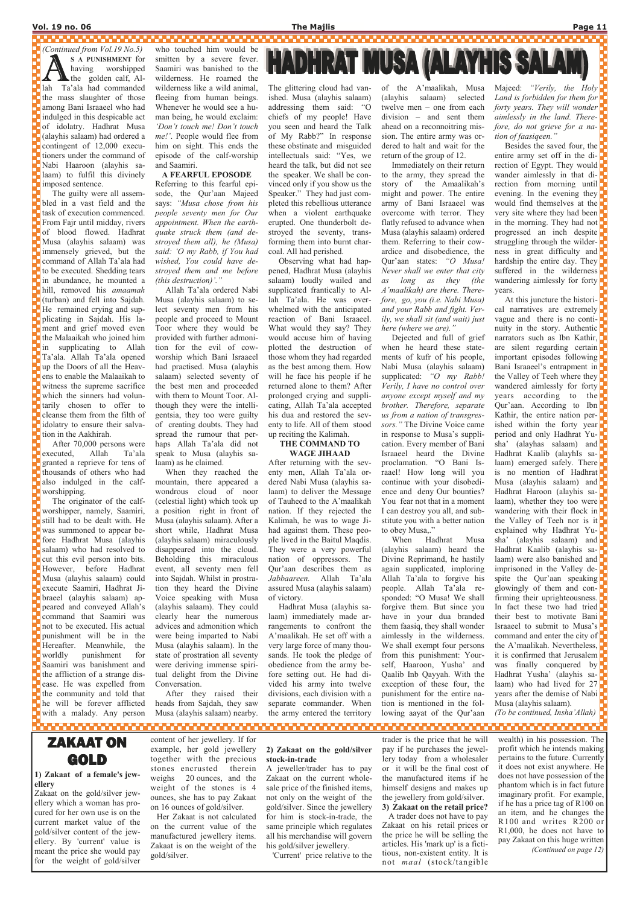#### Vol. 19 no. 06 The Majlis Page 11

(Continued from Vol.19 No.5) S A PUNISHMENT for<br>having worshipped<br>the golden calf, Al-<br>lah Ta'ala had commanded S A PUNISHMENT for having worshipped the golden calf, Althe mass slaughter of those among Bani Israaeel who had indulged in this despicable act of idolatry. Hadhrat Musa (alayhis salaam) had ordered a contingent of 12,000 executioners under the command of Nabi Haaroon (alayhis salaam) to fulfil this divinely imposed sentence.

<u>1000000000000</u>

 The guilty were all assembled in a vast field and the task of execution commenced. From Fajr until midday, rivers of blood flowed. Hadhrat Musa (alayhis salaam) was immensely grieved, but the command of Allah Ta'ala had to be executed. Shedding tears in abundance, he mounted a hill, removed his amaamah (turban) and fell into Sajdah. He remained crying and supplicating in Sajdah. His lament and grief moved even the Malaaikah who joined him in supplicating to Allah Ta'ala. Allah Ta'ala opened up the Doors of all the Heavens to enable the Malaaikah to witness the supreme sacrifice which the sinners had voluntarily chosen to offer to cleanse them from the filth of idolatry to ensure their salvation in the Aakhirah.

,,,,,,,,,,,,,,,,,,,,,,,,, who touched him would be smitten by a severe fever. Saamiri was banished to the wilderness. He roamed the wilderness like a wild animal, fleeing from human beings. Whenever he would see a human being, he would exclaim: 'Don't touch me! Don't touch me!'. People would flee from him on sight. This ends the episode of the calf-worship and Saamiri.

executed, Allah Ta'ala granted a reprieve for tens of thousands of others who had also indulged in the calfworshipping.

worshipper, namely, Saamiri, still had to be dealt with. He was summoned to appear before Hadhrat Musa (alayhis salaam) who had resolved to cut this evil person into bits. However, before Hadhrat Musa (alayhis salaam) could execute Saamiri, Hadhrat Jibraeel (alayhis salaam) appeared and conveyed Allah's command that Saamiri was not to be executed. His actual punishment will be in the Hereafter. Meanwhile, the worldly punishment for Saamiri was banishment and the affliction of a strange dis-

A FEARFUL EPOSODE Referring to this fearful episode, the Qur'aan Majeed says: "Musa chose from his people seventy men for Our appointment. When the earthquake struck them (and destroyed them all), he (Musa) said: 'O my Rabb, if You had wished, You could have destroyed them and me before (this destruction)'."

 Allah Ta'ala ordered Nabi Musa (alayhis salaam) to sespread the rumour that per-

mountain, there appeared a wondrous cloud of noor (celestial light) which took up a position right in front of Musa (alayhis salaam). After a short while, Hadhrat Musa (alayhis salaam) miraculously disappeared into the cloud. Beholding this miraculous event, all seventy men fell into Sajdah. Whilst in prostration they heard the Divine Voice speaking with Musa (alayhis salaam). They could clearly hear the numerous advices and admonition which were being imparted to Nabi Musa (alayhis salaam). In the state of prostration all seventy were deriving immense spiritual delight from the Divine

# **HADHRAT MUSA (ALAYHIS SALAM**

Majeed: "Verily, the Holy Land is forbidden for them for  $\blacksquare$ forty years. They will wonder aimlessly in the land. Therefore, do not grieve for a nation of faasiqeen."

Besides the saved four, the  $\Box$ entire army set off in the di- $\blacksquare$ rection of Egypt. They would wander aimlessly in that direction from morning until evening. In the evening they would find themselves at the very site where they had been in the morning. They had not  $\Box$ progressed an inch despite struggling through the wilder- $\mathbf{r}$ ness in great difficulty and hardship the entire day. They suffered in the wilderness **F** wandering aimlessly for forty $\blacksquare$ years.

The glittering cloud had vanished. Musa (alayhis salaam) addressing them said: "O chiefs of my people! Have you seen and heard the Talk of My Rabb?" In response these obstinate and misguided intellectuals said: "Yes, we heard the talk, but did not see the speaker. We shall be convinced only if you show us the Speaker." They had just completed this rebellious utterance when a violent earthquake erupted. One thunderbolt destroyed the seventy, transforming them into burnt charcoal. All had perished.

 Observing what had happened, Hadhrat Musa (alayhis salaam) loudly wailed and supplicated frantically to Allah Ta'ala. He was over-

 After 70,000 persons were The originator of the calfease. He was expelled from the community and told that he will be forever afflicted with a malady. Any person lect seventy men from his people and proceed to Mount Toor where they would be provided with further admonition for the evil of cowworship which Bani Israaeel had practised. Musa (alayhis salaam) selected seventy of the best men and proceeded with them to Mount Toor. Although they were the intelligentsia, they too were guilty of creating doubts. They had haps Allah Ta'ala did not speak to Musa (alayhis salaam) as he claimed. When they reached the Conversation. After they raised their heads from Sajdah, they saw Musa (alayhis salaam) nearby. whelmed with the anticipated reaction of Bani Israaeel. What would they say? They would accuse him of having plotted the destruction of those whom they had regarded as the best among them. How will he face his people if he returned alone to them? After prolonged crying and supplicating, Allah Ta'ala accepted his dua and restored the seventy to life. All of them stood up reciting the Kalimah. THE COMMAND TO WAGE JIHAAD After returning with the seventy men, Allah Ta'ala ordered Nabi Musa (alayhis salaam) to deliver the Message of Tauheed to the A'maalikah nation. If they rejected the Kalimah, he was to wage Jihad against them. These people lived in the Baitul Maqdis. They were a very powerful nation of oppressors. The Qur'aan describes them as Jabbaareen. Allah Ta'ala assured Musa (alayhis salaam) of victory. Hadhrat Musa (alayhis salaam) immediately made arrangements to confront the A'maalikah. He set off with a very large force of many thousands. He took the pledge of obedience from the army before setting out. He had divided his army into twelve divisions, each division with a separate commander. When the army entered the territory and your Rabb and fight. Verily, we shall sit (and wait) just here (where we are)." when he heard these statements of kufr of his people, supplicated: "O my Rabb! anyone except myself and my sors." The Divine Voice came proclamation. "O Bani Israael! How long will you continue with your disobedi-I can destroy you all, and substitute you with a better nation to obey Musa,." (alayhis salaam) heard the Divine Reprimand, he hastily self, Haaroon, Yusha' and Qaalib Inb Qayyah. With the exception of these four, the punishment for the entire nation is mentioned in the following aayat of the Qur'aan At this juncture the historical narratives are extremely vague and there is no continuity in the story. Authentic narrators such as Ibn Kathir, are silent regarding certain important episodes following Bani Israaeel's entrapment in the Valley of Teeh where they  $\Box$ wandered aimlessly for forty years according to the Qur'aan. According to Ibn Kathir, the entire nation perished within the forty year period and only Hadhrat Yusha' (alayhas salaam) and Hadhrat Kaalib (alayhIs salaam) emerged safely. There is no mention of Hadhrat Musa (alayhis salaam) and  $\Box$ Hadhrat Haroon (alayhis salaam), whether they too were wandering with their flock in  $\blacksquare$ the Valley of Teeh nor is it explained why Hadhrat Yusha' (alayhis salaam) and Hadhrat Kaalib (alayhis salaam) were also banished and **p** imprisoned in the Valley despite the Qur'aan speaking glowingly of them and confirming their uprighteousness. In fact these two had tried  $\blacksquare$ their best to motivate Bani Israaeel to submit to Musa's command and enter the city of the A'maalikah. Nevertheless, it is confirmed that Jerusalem was finally conquered by Hadhrat Yusha' (alayhis salaam) who had lived for 27 years after the demise of Nabi Musa (alayhis salaam). (To be continued, Insha'Allah)

#### ,,,,,,,,,,,,,,,,,,,, ,,,,,,,,,,,,,,,,,,,, . . . . . . . . . . . . . . . . . . ,,,,,,,,,,,,,,,,,,,,, ,,,,,,,,,,,,,,,,,,,,,

of the A'maalikah, Musa (alayhis salaam) selected twelve men – one from each division – and sent them ahead on a reconnoitring mission. The entire army was ordered to halt and wait for the return of the group of 12.

 Immediately on their return to the army, they spread the story of the Amaalikah's might and power. The entire army of Bani Israaeel was overcome with terror. They flatly refused to advance when Musa (alayhis salaam) ordered them. Referring to their cowardice and disobedience, the Qur'aan states: "O Musa! Never shall we enter that city as long as they (the A'maalikah) are there. Therefore, go, you (i.e. Nabi Musa)

Dejected and full of grief Nabi Musa (alayhis salaam) Verily, I have no control over brother. Therefore, separate us from a nation of transgresin response to Musa's supplication. Every member of Bani Israaeel heard the Divine ence and deny Our bounties? You fear not that in a moment

 When Hadhrat Musa again supplicated, imploring Allah Ta'ala to forgive his people. Allah Ta'ala responded: "O Musa! We shall forgive them. But since you have in your dua branded them faasiq, they shall wonder aimlessly in the wilderness. We shall exempt four persons from this punishment: Your-

## ZAKAAT ON GOLD

#### 1) Zakaat of a female's jewellery

Zakaat on the gold/silver jewellery which a woman has procured for her own use is on the current market value of the gold/silver content of the jewellery. By 'current' value is meant the price she would pay for the weight of gold/silver content of her jewellery. If for

example, her gold jewellery together with the precious

stones encrusted therein weighs 20 ounces, and the weight of the stones is 4 ounces, she has to pay Zakaat on 16 ounces of gold/silver.

 Her Zakaat is not calculated on the current value of the manufactured jewellery items. Zakaat is on the weight of the gold/silver.

#### 2) Zakaat on the gold/silver stock-in-trade

A jeweller/trader has to pay Zakaat on the current wholesale price of the finished items, not only on the weight of the gold/silver. Since the jewellery for him is stock-in-trade, the same principle which regulates all his merchandise will govern his gold/silver jewellery.

'Current' price relative to the

trader is the price that he will pay if he purchases the jewellery today from a wholesaler or it will be the final cost of the manufactured items if he himself designs and makes up the jewellery from gold/silver. 3) Zakaat on the retail price? A trader does not have to pay Zakaat on his retail prices or the price he will be selling the articles. His 'mark up' is a fictitious, non-existent entity. It is not maal (stock/tangible

wealth) in his possession. The profit which he intends making pertains to the future. Currently it does not exist anywhere. He does not have possession of the phantom which is in fact future imaginary profit. For example, if he has a price tag of R100 on an item, and he changes the R100 and writes R200 or R1,000, he does not have to pay Zakaat on this huge written (Continued on page 12)